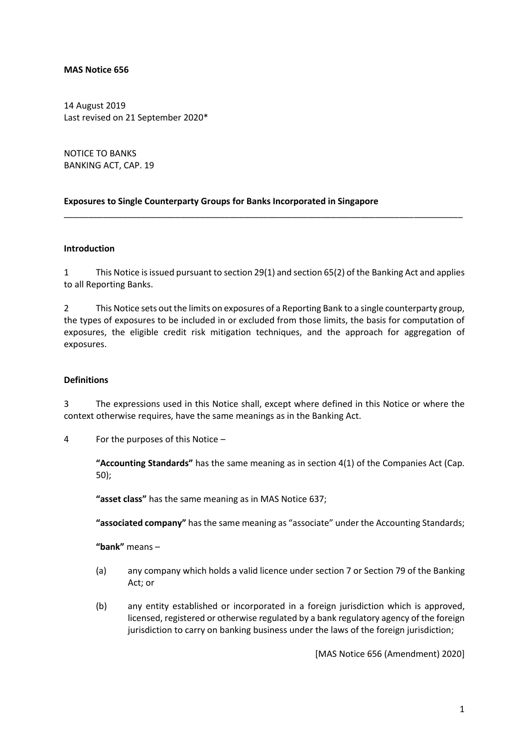#### **MAS Notice 656**

14 August 2019 Last revised on 21 September 2020\*

NOTICE TO BANKS BANKING ACT, CAP. 19

#### **Exposures to Single Counterparty Groups for Banks Incorporated in Singapore**

#### **Introduction**

1 This Notice is issued pursuant to section 29(1) and section 65(2) of the Banking Act and applies to all Reporting Banks.

\_\_\_\_\_\_\_\_\_\_\_\_\_\_\_\_\_\_\_\_\_\_\_\_\_\_\_\_\_\_\_\_\_\_\_\_\_\_\_\_\_\_\_\_\_\_\_\_\_\_\_\_\_\_\_\_\_\_\_\_\_\_\_\_\_\_\_\_\_\_\_\_\_\_\_\_\_\_\_\_\_\_

2 This Notice sets out the limits on exposures of a Reporting Bank to a single counterparty group, the types of exposures to be included in or excluded from those limits, the basis for computation of exposures, the eligible credit risk mitigation techniques, and the approach for aggregation of exposures.

#### **Definitions**

3 The expressions used in this Notice shall, except where defined in this Notice or where the context otherwise requires, have the same meanings as in the Banking Act.

4 For the purposes of this Notice –

**"Accounting Standards"** has the same meaning as in section 4(1) of the Companies Act (Cap. 50);

**"asset class"** has the same meaning as in MAS Notice 637;

**"associated company"** has the same meaning as "associate" under the Accounting Standards;

**"bank"** means –

- (a) any company which holds a valid licence under section 7 or Section 79 of the Banking Act; or
- (b) any entity established or incorporated in a foreign jurisdiction which is approved, licensed, registered or otherwise regulated by a bank regulatory agency of the foreign jurisdiction to carry on banking business under the laws of the foreign jurisdiction;

[MAS Notice 656 (Amendment) 2020]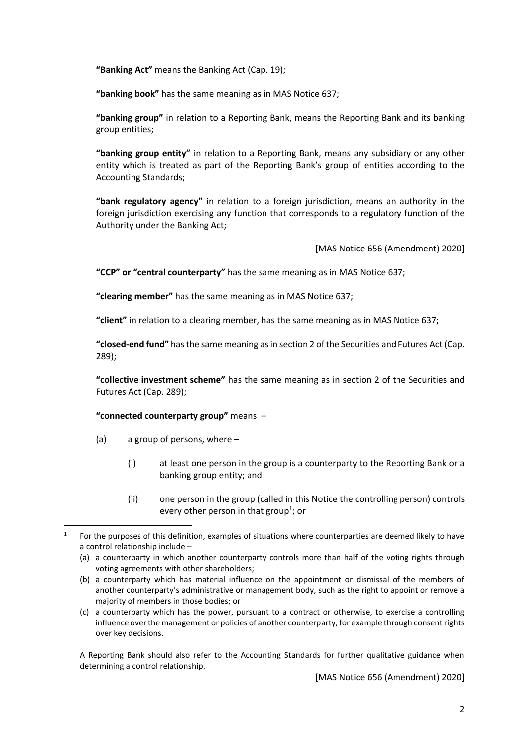**"Banking Act"** means the Banking Act (Cap. 19);

**"banking book"** has the same meaning as in MAS Notice 637;

**"banking group"** in relation to a Reporting Bank, means the Reporting Bank and its banking group entities;

**"banking group entity"** in relation to a Reporting Bank, means any subsidiary or any other entity which is treated as part of the Reporting Bank's group of entities according to the Accounting Standards;

**"bank regulatory agency"** in relation to a foreign jurisdiction, means an authority in the foreign jurisdiction exercising any function that corresponds to a regulatory function of the Authority under the Banking Act;

[MAS Notice 656 (Amendment) 2020]

**"CCP" or "central counterparty"** has the same meaning as in MAS Notice 637;

**"clearing member"** has the same meaning as in MAS Notice 637;

**"client"** in relation to a clearing member, has the same meaning as in MAS Notice 637;

**"closed-end fund"** has the same meaning as in section 2 of the Securities and Futures Act (Cap. 289);

**"collective investment scheme"** has the same meaning as in section 2 of the Securities and Futures Act (Cap. 289);

#### **"connected counterparty group"** means –

- (a) a group of persons, where
	- (i) at least one person in the group is a counterparty to the Reporting Bank or a banking group entity; and
	- (ii) one person in the group (called in this Notice the controlling person) controls every other person in that group<sup>1</sup>; or

A Reporting Bank should also refer to the Accounting Standards for further qualitative guidance when determining a control relationship.

[MAS Notice 656 (Amendment) 2020]

<sup>1</sup> For the purposes of this definition, examples of situations where counterparties are deemed likely to have a control relationship include –

<sup>(</sup>a) a counterparty in which another counterparty controls more than half of the voting rights through voting agreements with other shareholders;

<sup>(</sup>b) a counterparty which has material influence on the appointment or dismissal of the members of another counterparty's administrative or management body, such as the right to appoint or remove a majority of members in those bodies; or

<sup>(</sup>c) a counterparty which has the power, pursuant to a contract or otherwise, to exercise a controlling influence over the management or policies of another counterparty, for example through consent rights over key decisions.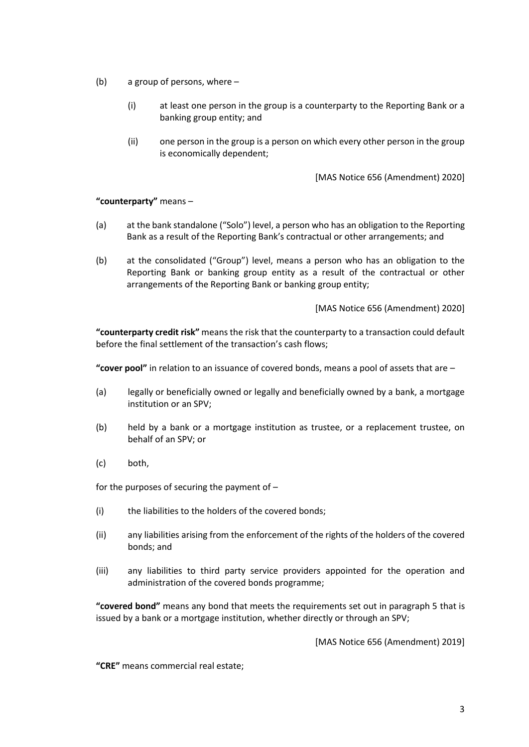- (b) a group of persons, where
	- (i) at least one person in the group is a counterparty to the Reporting Bank or a banking group entity; and
	- (ii) one person in the group is a person on which every other person in the group is economically dependent;

[MAS Notice 656 (Amendment) 2020]

#### **"counterparty"** means –

- (a) at the bank standalone ("Solo") level, a person who has an obligation to the Reporting Bank as a result of the Reporting Bank's contractual or other arrangements; and
- (b) at the consolidated ("Group") level, means a person who has an obligation to the Reporting Bank or banking group entity as a result of the contractual or other arrangements of the Reporting Bank or banking group entity;

[MAS Notice 656 (Amendment) 2020]

**"counterparty credit risk"** means the risk that the counterparty to a transaction could default before the final settlement of the transaction's cash flows;

**"cover pool"** in relation to an issuance of covered bonds, means a pool of assets that are –

- (a) legally or beneficially owned or legally and beneficially owned by a bank, a mortgage institution or an SPV;
- (b) held by a bank or a mortgage institution as trustee, or a replacement trustee, on behalf of an SPV; or
- (c) both,

for the purposes of securing the payment of –

- (i) the liabilities to the holders of the covered bonds;
- (ii) any liabilities arising from the enforcement of the rights of the holders of the covered bonds; and
- (iii) any liabilities to third party service providers appointed for the operation and administration of the covered bonds programme;

**"covered bond"** means any bond that meets the requirements set out in paragraph 5 that is issued by a bank or a mortgage institution, whether directly or through an SPV;

[MAS Notice 656 (Amendment) 2019]

**"CRE"** means commercial real estate;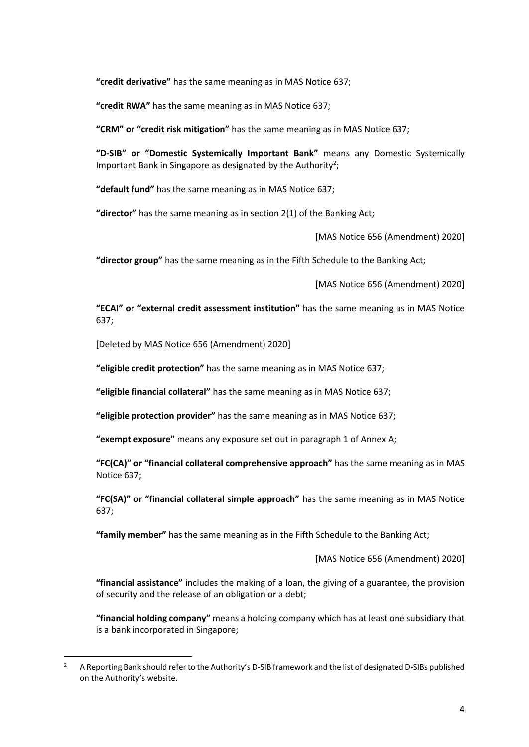**"credit derivative"** has the same meaning as in MAS Notice 637;

**"credit RWA"** has the same meaning as in MAS Notice 637;

**"CRM" or "credit risk mitigation"** has the same meaning as in MAS Notice 637;

**"D-SIB" or "Domestic Systemically Important Bank"** means any Domestic Systemically Important Bank in Singapore as designated by the Authority<sup>2</sup>;

**"default fund"** has the same meaning as in MAS Notice 637;

**"director"** has the same meaning as in section 2(1) of the Banking Act;

[MAS Notice 656 (Amendment) 2020]

**"director group"** has the same meaning as in the Fifth Schedule to the Banking Act;

[MAS Notice 656 (Amendment) 2020]

**"ECAI" or "external credit assessment institution"** has the same meaning as in MAS Notice 637;

[Deleted by MAS Notice 656 (Amendment) 2020]

**"eligible credit protection"** has the same meaning as in MAS Notice 637;

**"eligible financial collateral"** has the same meaning as in MAS Notice 637;

**"eligible protection provider"** has the same meaning as in MAS Notice 637;

**"exempt exposure"** means any exposure set out in paragraph 1 of Annex A;

**"FC(CA)" or "financial collateral comprehensive approach"** has the same meaning as in MAS Notice 637;

**"FC(SA)" or "financial collateral simple approach"** has the same meaning as in MAS Notice 637;

**"family member"** has the same meaning as in the Fifth Schedule to the Banking Act;

[MAS Notice 656 (Amendment) 2020]

**"financial assistance"** includes the making of a loan, the giving of a guarantee, the provision of security and the release of an obligation or a debt;

**"financial holding company"** means a holding company which has at least one subsidiary that is a bank incorporated in Singapore;

<sup>&</sup>lt;sup>2</sup> A Reporting Bank should refer to the Authority's D-SIB framework and the list of designated D-SIBs published on the Authority's website.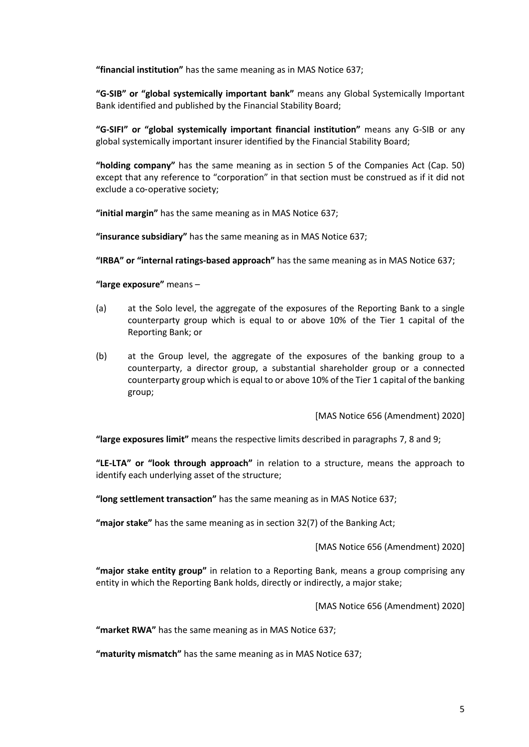**"financial institution"** has the same meaning as in MAS Notice 637;

**"G-SIB" or "global systemically important bank"** means any Global Systemically Important Bank identified and published by the Financial Stability Board;

**"G-SIFI" or "global systemically important financial institution"** means any G*-*SIB or any global systemically important insurer identified by the Financial Stability Board;

**"holding company"** has the same meaning as in section 5 of the Companies Act (Cap. 50) except that any reference to "corporation" in that section must be construed as if it did not exclude a co-operative society;

**"initial margin"** has the same meaning as in MAS Notice 637;

**"insurance subsidiary"** has the same meaning as in MAS Notice 637;

**"IRBA" or "internal ratings-based approach"** has the same meaning as in MAS Notice 637;

**"large exposure"** means –

- (a) at the Solo level, the aggregate of the exposures of the Reporting Bank to a single counterparty group which is equal to or above 10% of the Tier 1 capital of the Reporting Bank; or
- (b) at the Group level, the aggregate of the exposures of the banking group to a counterparty, a director group, a substantial shareholder group or a connected counterparty group which is equal to or above 10% of the Tier 1 capital of the banking group;

[MAS Notice 656 (Amendment) 2020]

**"large exposures limit"** means the respective limits described in paragraphs 7, 8 and 9;

**"LE-LTA" or "look through approach"** in relation to a structure, means the approach to identify each underlying asset of the structure;

**"long settlement transaction"** has the same meaning as in MAS Notice 637;

**"major stake"** has the same meaning as in section 32(7) of the Banking Act;

[MAS Notice 656 (Amendment) 2020]

**"major stake entity group"** in relation to a Reporting Bank, means a group comprising any entity in which the Reporting Bank holds, directly or indirectly, a major stake;

[MAS Notice 656 (Amendment) 2020]

**"market RWA"** has the same meaning as in MAS Notice 637;

**"maturity mismatch"** has the same meaning as in MAS Notice 637;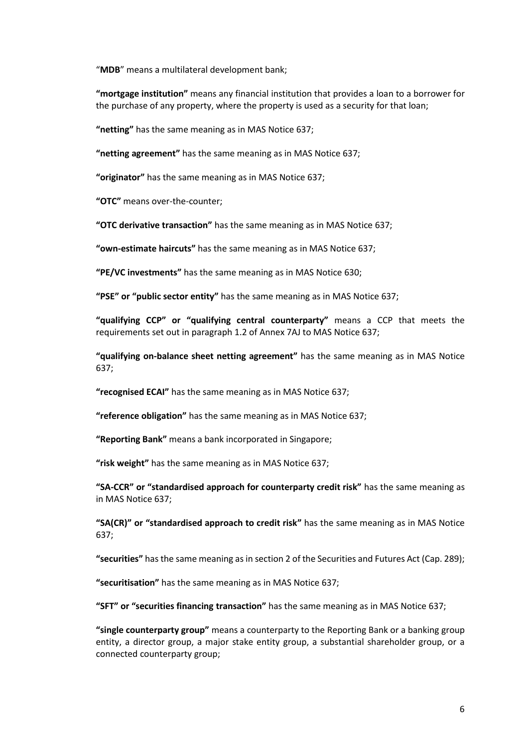"**MDB**" means a multilateral development bank;

**"mortgage institution"** means any financial institution that provides a loan to a borrower for the purchase of any property, where the property is used as a security for that loan;

**"netting"** has the same meaning as in MAS Notice 637;

**"netting agreement"** has the same meaning as in MAS Notice 637;

**"originator"** has the same meaning as in MAS Notice 637;

**"OTC"** means over-the-counter;

**"OTC derivative transaction"** has the same meaning as in MAS Notice 637;

**"own-estimate haircuts"** has the same meaning as in MAS Notice 637;

**"PE/VC investments"** has the same meaning as in MAS Notice 630;

**"PSE" or "public sector entity"** has the same meaning as in MAS Notice 637;

**"qualifying CCP" or "qualifying central counterparty"** means a CCP that meets the requirements set out in paragraph 1.2 of Annex 7AJ to MAS Notice 637;

**"qualifying on-balance sheet netting agreement"** has the same meaning as in MAS Notice 637;

**"recognised ECAI"** has the same meaning as in MAS Notice 637;

**"reference obligation"** has the same meaning as in MAS Notice 637;

**"Reporting Bank"** means a bank incorporated in Singapore;

**"risk weight"** has the same meaning as in MAS Notice 637;

**"SA-CCR" or "standardised approach for counterparty credit risk"** has the same meaning as in MAS Notice 637;

**"SA(CR)" or "standardised approach to credit risk"** has the same meaning as in MAS Notice 637;

**"securities"** has the same meaning as in section 2 of the Securities and Futures Act (Cap. 289);

**"securitisation"** has the same meaning as in MAS Notice 637;

**"SFT" or "securities financing transaction"** has the same meaning as in MAS Notice 637;

**"single counterparty group"** means a counterparty to the Reporting Bank or a banking group entity, a director group, a major stake entity group, a substantial shareholder group, or a connected counterparty group;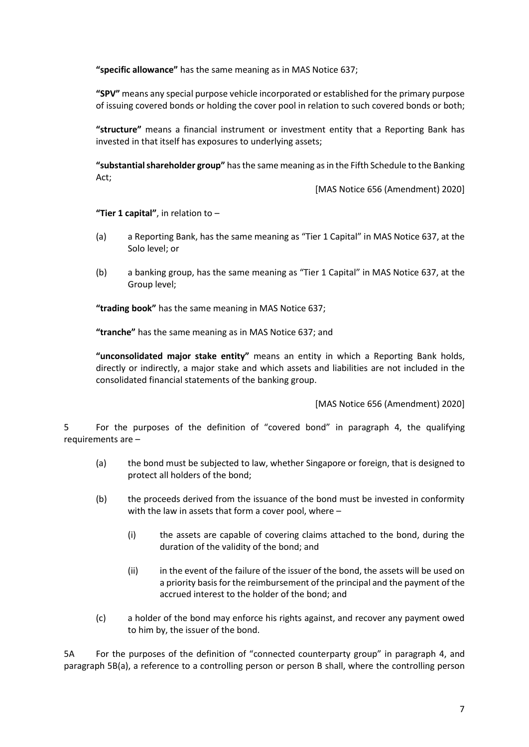**"specific allowance"** has the same meaning as in MAS Notice 637;

**"SPV"** means any special purpose vehicle incorporated or established for the primary purpose of issuing covered bonds or holding the cover pool in relation to such covered bonds or both;

**"structure"** means a financial instrument or investment entity that a Reporting Bank has invested in that itself has exposures to underlying assets;

**"substantial shareholder group"** has the same meaning as in the Fifth Schedule to the Banking Act;

[MAS Notice 656 (Amendment) 2020]

**"Tier 1 capital"**, in relation to –

- (a) a Reporting Bank, has the same meaning as "Tier 1 Capital" in MAS Notice 637, at the Solo level; or
- (b) a banking group, has the same meaning as "Tier 1 Capital" in MAS Notice 637, at the Group level;

**"trading book"** has the same meaning in MAS Notice 637;

**"tranche"** has the same meaning as in MAS Notice 637; and

**"unconsolidated major stake entity"** means an entity in which a Reporting Bank holds, directly or indirectly, a major stake and which assets and liabilities are not included in the consolidated financial statements of the banking group.

[MAS Notice 656 (Amendment) 2020]

5 For the purposes of the definition of "covered bond" in paragraph 4, the qualifying requirements are –

- (a) the bond must be subjected to law, whether Singapore or foreign, that is designed to protect all holders of the bond;
- (b) the proceeds derived from the issuance of the bond must be invested in conformity with the law in assets that form a cover pool, where –
	- (i) the assets are capable of covering claims attached to the bond, during the duration of the validity of the bond; and
	- (ii) in the event of the failure of the issuer of the bond, the assets will be used on a priority basis for the reimbursement of the principal and the payment of the accrued interest to the holder of the bond; and
- (c) a holder of the bond may enforce his rights against, and recover any payment owed to him by, the issuer of the bond.

5A For the purposes of the definition of "connected counterparty group" in paragraph 4, and paragraph 5B(a), a reference to a controlling person or person B shall, where the controlling person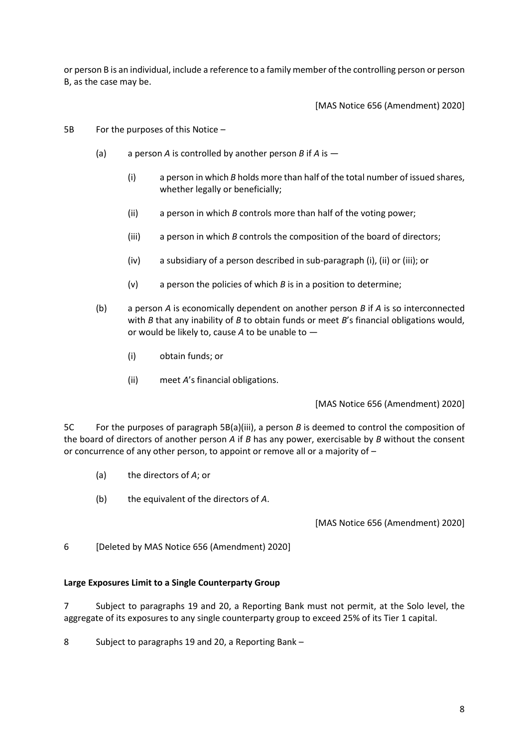or person B is an individual, include a reference to a family member of the controlling person or person B, as the case may be.

[MAS Notice 656 (Amendment) 2020]

- 5B For the purposes of this Notice
	- (a) a person *A* is controlled by another person *B* if *A* is
		- (i) a person in which *B* holds more than half of the total number of issued shares, whether legally or beneficially;
		- (ii) a person in which *B* controls more than half of the voting power;
		- (iii) a person in which *B* controls the composition of the board of directors;
		- (iv) a subsidiary of a person described in sub-paragraph (i), (ii) or (iii); or
		- (v) a person the policies of which *B* is in a position to determine;
	- (b) a person *A* is economically dependent on another person *B* if *A* is so interconnected with *B* that any inability of *B* to obtain funds or meet *B*'s financial obligations would, or would be likely to, cause *A* to be unable to —
		- (i) obtain funds; or
		- (ii) meet *A*'s financial obligations.

[MAS Notice 656 (Amendment) 2020]

5C For the purposes of paragraph 5B(a)(iii), a person *B* is deemed to control the composition of the board of directors of another person *A* if *B* has any power, exercisable by *B* without the consent or concurrence of any other person, to appoint or remove all or a majority of –

- (a) the directors of *A*; or
- (b) the equivalent of the directors of *A*.

[MAS Notice 656 (Amendment) 2020]

6 [Deleted by MAS Notice 656 (Amendment) 2020]

#### **Large Exposures Limit to a Single Counterparty Group**

7 Subject to paragraphs 19 and 20, a Reporting Bank must not permit, at the Solo level, the aggregate of its exposures to any single counterparty group to exceed 25% of its Tier 1 capital.

8 Subject to paragraphs 19 and 20, a Reporting Bank –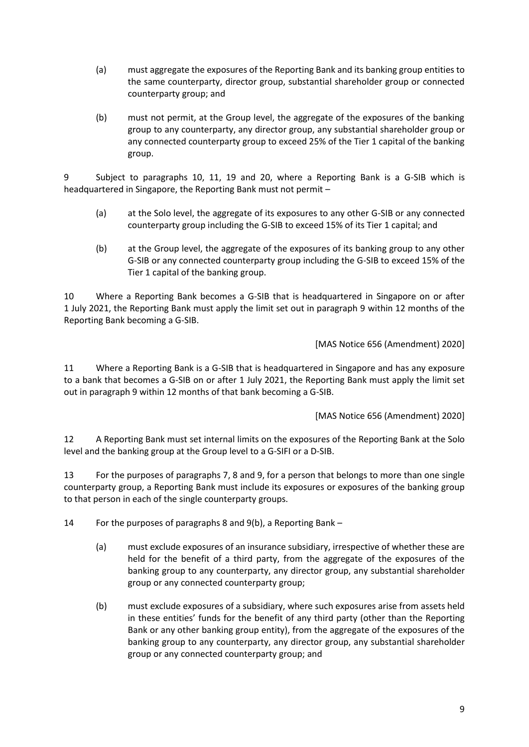- (a) must aggregate the exposures of the Reporting Bank and its banking group entities to the same counterparty, director group, substantial shareholder group or connected counterparty group; and
- (b) must not permit, at the Group level, the aggregate of the exposures of the banking group to any counterparty, any director group, any substantial shareholder group or any connected counterparty group to exceed 25% of the Tier 1 capital of the banking group.

9 Subject to paragraphs 10, 11, 19 and 20, where a Reporting Bank is a G-SIB which is headquartered in Singapore, the Reporting Bank must not permit –

- (a) at the Solo level, the aggregate of its exposures to any other G-SIB or any connected counterparty group including the G-SIB to exceed 15% of its Tier 1 capital; and
- (b) at the Group level, the aggregate of the exposures of its banking group to any other G-SIB or any connected counterparty group including the G-SIB to exceed 15% of the Tier 1 capital of the banking group.

10 Where a Reporting Bank becomes a G-SIB that is headquartered in Singapore on or after 1 July 2021, the Reporting Bank must apply the limit set out in paragraph 9 within 12 months of the Reporting Bank becoming a G-SIB.

[MAS Notice 656 (Amendment) 2020]

11 Where a Reporting Bank is a G-SIB that is headquartered in Singapore and has any exposure to a bank that becomes a G-SIB on or after 1 July 2021, the Reporting Bank must apply the limit set out in paragraph 9 within 12 months of that bank becoming a G-SIB.

[MAS Notice 656 (Amendment) 2020]

12 A Reporting Bank must set internal limits on the exposures of the Reporting Bank at the Solo level and the banking group at the Group level to a G-SIFI or a D-SIB.

13 For the purposes of paragraphs 7, 8 and 9, for a person that belongs to more than one single counterparty group, a Reporting Bank must include its exposures or exposures of the banking group to that person in each of the single counterparty groups.

14 For the purposes of paragraphs 8 and 9(b), a Reporting Bank –

- (a) must exclude exposures of an insurance subsidiary, irrespective of whether these are held for the benefit of a third party, from the aggregate of the exposures of the banking group to any counterparty, any director group, any substantial shareholder group or any connected counterparty group;
- (b) must exclude exposures of a subsidiary, where such exposures arise from assets held in these entities' funds for the benefit of any third party (other than the Reporting Bank or any other banking group entity), from the aggregate of the exposures of the banking group to any counterparty, any director group, any substantial shareholder group or any connected counterparty group; and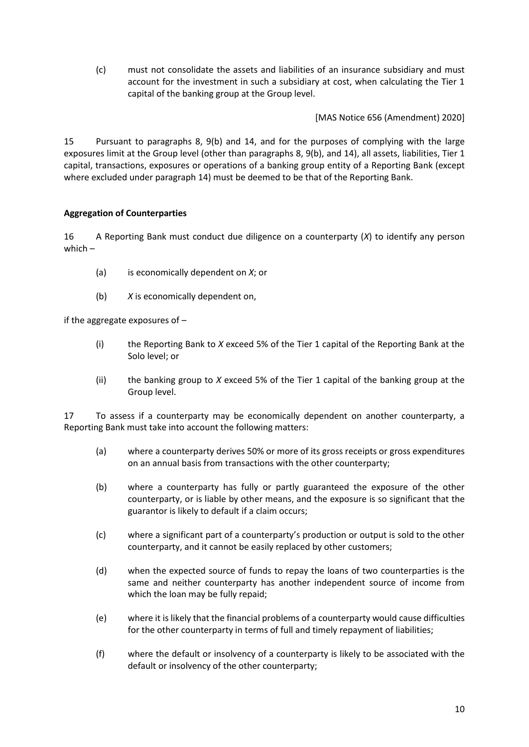(c) must not consolidate the assets and liabilities of an insurance subsidiary and must account for the investment in such a subsidiary at cost, when calculating the Tier 1 capital of the banking group at the Group level.

[MAS Notice 656 (Amendment) 2020]

15 Pursuant to paragraphs 8, 9(b) and 14, and for the purposes of complying with the large exposures limit at the Group level (other than paragraphs 8, 9(b), and 14), all assets, liabilities, Tier 1 capital, transactions, exposures or operations of a banking group entity of a Reporting Bank (except where excluded under paragraph 14) must be deemed to be that of the Reporting Bank.

# **Aggregation of Counterparties**

16 A Reporting Bank must conduct due diligence on a counterparty (*X*) to identify any person which –

- (a) is economically dependent on *X*; or
- (b) *X* is economically dependent on,

if the aggregate exposures of –

- (i) the Reporting Bank to *X* exceed 5% of the Tier 1 capital of the Reporting Bank at the Solo level; or
- (ii) the banking group to *X* exceed 5% of the Tier 1 capital of the banking group at the Group level.

17 To assess if a counterparty may be economically dependent on another counterparty, a Reporting Bank must take into account the following matters:

- (a) where a counterparty derives 50% or more of its gross receipts or gross expenditures on an annual basis from transactions with the other counterparty;
- (b) where a counterparty has fully or partly guaranteed the exposure of the other counterparty, or is liable by other means, and the exposure is so significant that the guarantor is likely to default if a claim occurs;
- (c) where a significant part of a counterparty's production or output is sold to the other counterparty, and it cannot be easily replaced by other customers;
- (d) when the expected source of funds to repay the loans of two counterparties is the same and neither counterparty has another independent source of income from which the loan may be fully repaid;
- (e) where it is likely that the financial problems of a counterparty would cause difficulties for the other counterparty in terms of full and timely repayment of liabilities;
- (f) where the default or insolvency of a counterparty is likely to be associated with the default or insolvency of the other counterparty;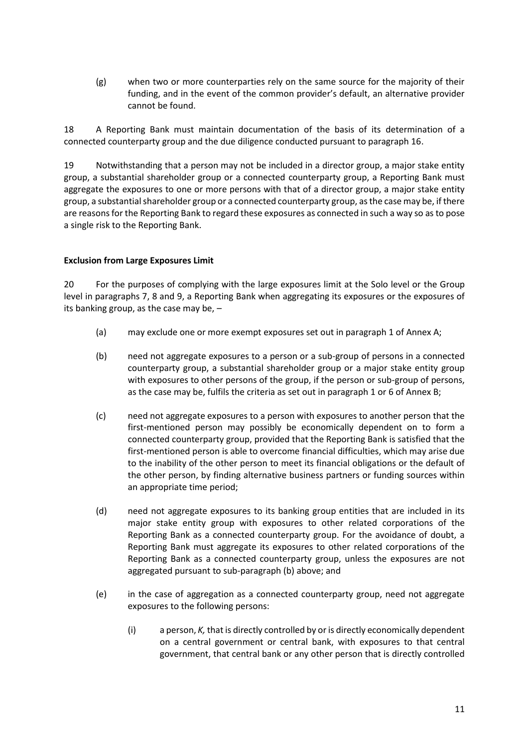(g) when two or more counterparties rely on the same source for the majority of their funding, and in the event of the common provider's default, an alternative provider cannot be found.

18 A Reporting Bank must maintain documentation of the basis of its determination of a connected counterparty group and the due diligence conducted pursuant to paragraph 16.

19 Notwithstanding that a person may not be included in a director group, a major stake entity group, a substantial shareholder group or a connected counterparty group, a Reporting Bank must aggregate the exposures to one or more persons with that of a director group, a major stake entity group, a substantial shareholder group or a connected counterparty group, as the case may be, if there are reasonsfor the Reporting Bank to regard these exposures as connected in such a way so as to pose a single risk to the Reporting Bank.

# **Exclusion from Large Exposures Limit**

20 For the purposes of complying with the large exposures limit at the Solo level or the Group level in paragraphs 7, 8 and 9, a Reporting Bank when aggregating its exposures or the exposures of its banking group, as the case may be, –

- (a) may exclude one or more exempt exposures set out in paragraph 1 of Annex A;
- (b) need not aggregate exposures to a person or a sub-group of persons in a connected counterparty group, a substantial shareholder group or a major stake entity group with exposures to other persons of the group, if the person or sub-group of persons, as the case may be, fulfils the criteria as set out in paragraph 1 or 6 of Annex B;
- (c) need not aggregate exposures to a person with exposures to another person that the first-mentioned person may possibly be economically dependent on to form a connected counterparty group, provided that the Reporting Bank is satisfied that the first-mentioned person is able to overcome financial difficulties, which may arise due to the inability of the other person to meet its financial obligations or the default of the other person, by finding alternative business partners or funding sources within an appropriate time period;
- (d) need not aggregate exposures to its banking group entities that are included in its major stake entity group with exposures to other related corporations of the Reporting Bank as a connected counterparty group. For the avoidance of doubt, a Reporting Bank must aggregate its exposures to other related corporations of the Reporting Bank as a connected counterparty group, unless the exposures are not aggregated pursuant to sub-paragraph (b) above; and
- (e) in the case of aggregation as a connected counterparty group, need not aggregate exposures to the following persons:
	- (i) a person, *K,* that is directly controlled by or is directly economically dependent on a central government or central bank, with exposures to that central government, that central bank or any other person that is directly controlled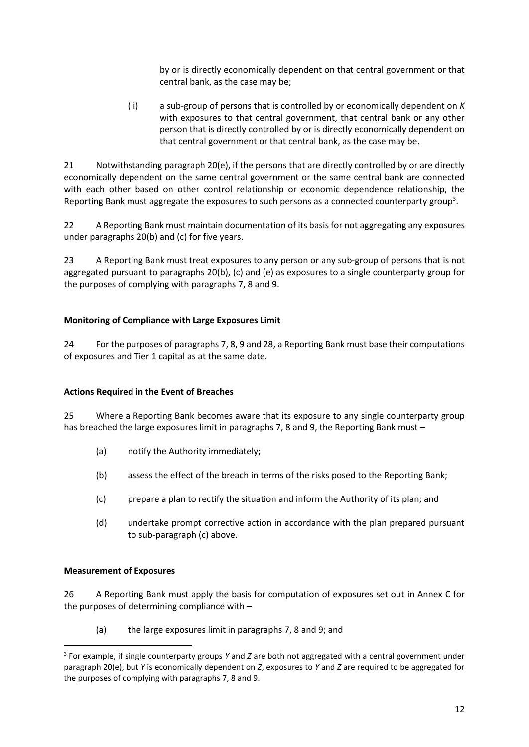by or is directly economically dependent on that central government or that central bank, as the case may be;

(ii) a sub-group of persons that is controlled by or economically dependent on *K* with exposures to that central government, that central bank or any other person that is directly controlled by or is directly economically dependent on that central government or that central bank, as the case may be.

21 Notwithstanding paragraph 20(e), if the persons that are directly controlled by or are directly economically dependent on the same central government or the same central bank are connected with each other based on other control relationship or economic dependence relationship, the Reporting Bank must aggregate the exposures to such persons as a connected counterparty group<sup>3</sup>.

22 A Reporting Bank must maintain documentation of its basis for not aggregating any exposures under paragraphs 20(b) and (c) for five years.

23 A Reporting Bank must treat exposures to any person or any sub-group of persons that is not aggregated pursuant to paragraphs 20(b), (c) and (e) as exposures to a single counterparty group for the purposes of complying with paragraphs 7, 8 and 9.

# **Monitoring of Compliance with Large Exposures Limit**

24 For the purposes of paragraphs 7, 8, 9 and 28, a Reporting Bank must base their computations of exposures and Tier 1 capital as at the same date.

#### **Actions Required in the Event of Breaches**

25 Where a Reporting Bank becomes aware that its exposure to any single counterparty group has breached the large exposures limit in paragraphs 7, 8 and 9, the Reporting Bank must –

- (a) notify the Authority immediately;
- (b) assess the effect of the breach in terms of the risks posed to the Reporting Bank;
- (c) prepare a plan to rectify the situation and inform the Authority of its plan; and
- (d) undertake prompt corrective action in accordance with the plan prepared pursuant to sub-paragraph (c) above.

#### **Measurement of Exposures**

26 A Reporting Bank must apply the basis for computation of exposures set out in Annex C for the purposes of determining compliance with –

(a) the large exposures limit in paragraphs 7, 8 and 9; and

<sup>3</sup> For example, if single counterparty groups *Y* and *Z* are both not aggregated with a central government under paragraph 20(e), but *Y* is economically dependent on *Z*, exposures to *Y* and *Z* are required to be aggregated for the purposes of complying with paragraphs 7, 8 and 9.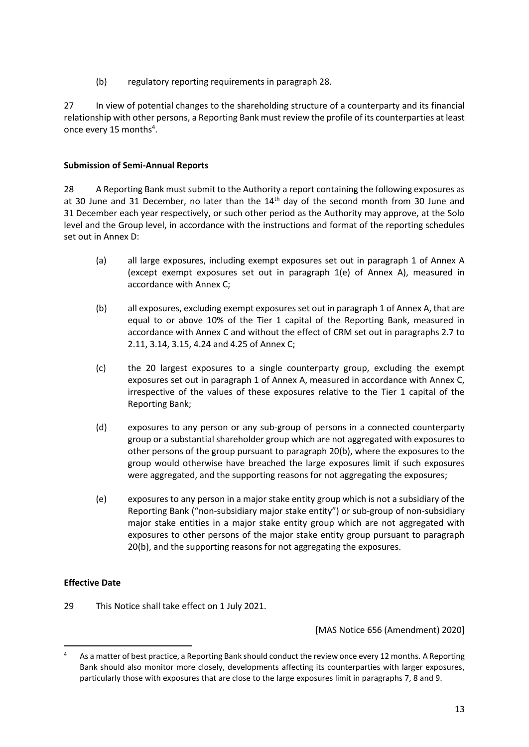(b) regulatory reporting requirements in paragraph 28.

27 In view of potential changes to the shareholding structure of a counterparty and its financial relationship with other persons, a Reporting Bank must review the profile of its counterparties at least once every 15 months<sup>4</sup>.

# **Submission of Semi-Annual Reports**

28 A Reporting Bank must submit to the Authority a report containing the following exposures as at 30 June and 31 December, no later than the  $14<sup>th</sup>$  day of the second month from 30 June and 31 December each year respectively, or such other period as the Authority may approve, at the Solo level and the Group level, in accordance with the instructions and format of the reporting schedules set out in Annex D:

- (a) all large exposures, including exempt exposures set out in paragraph 1 of Annex A (except exempt exposures set out in paragraph 1(e) of Annex A), measured in accordance with Annex C;
- (b) all exposures, excluding exempt exposures set out in paragraph 1 of Annex A, that are equal to or above 10% of the Tier 1 capital of the Reporting Bank, measured in accordance with Annex C and without the effect of CRM set out in paragraphs 2.7 to 2.11, 3.14, 3.15, 4.24 and 4.25 of Annex C;
- (c) the 20 largest exposures to a single counterparty group, excluding the exempt exposures set out in paragraph 1 of Annex A, measured in accordance with Annex C, irrespective of the values of these exposures relative to the Tier 1 capital of the Reporting Bank;
- (d) exposures to any person or any sub-group of persons in a connected counterparty group or a substantial shareholder group which are not aggregated with exposures to other persons of the group pursuant to paragraph 20(b), where the exposures to the group would otherwise have breached the large exposures limit if such exposures were aggregated, and the supporting reasons for not aggregating the exposures;
- (e) exposures to any person in a major stake entity group which is not a subsidiary of the Reporting Bank ("non-subsidiary major stake entity") or sub-group of non-subsidiary major stake entities in a major stake entity group which are not aggregated with exposures to other persons of the major stake entity group pursuant to paragraph 20(b), and the supporting reasons for not aggregating the exposures.

# **Effective Date**

29 This Notice shall take effect on 1 July 2021.

[MAS Notice 656 (Amendment) 2020]

<sup>&</sup>lt;sup>4</sup> As a matter of best practice, a Reporting Bank should conduct the review once every 12 months. A Reporting Bank should also monitor more closely, developments affecting its counterparties with larger exposures, particularly those with exposures that are close to the large exposures limit in paragraphs 7, 8 and 9.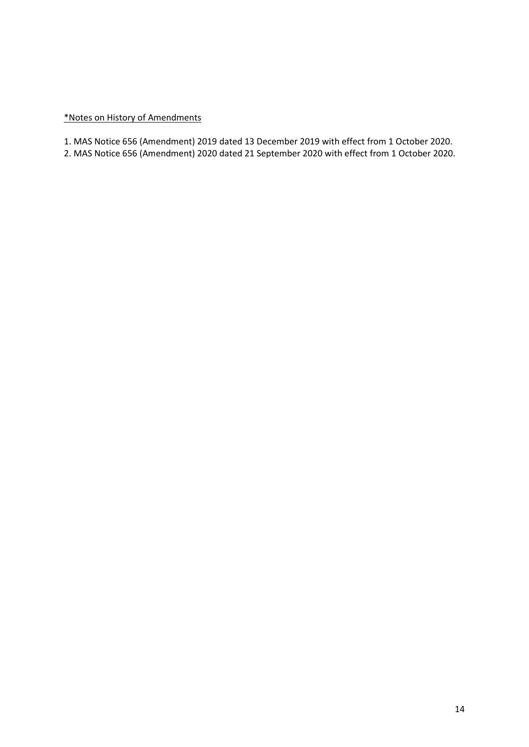### \*Notes on History of Amendments

1. MAS Notice 656 (Amendment) 2019 dated 13 December 2019 with effect from 1 October 2020.

2. MAS Notice 656 (Amendment) 2020 dated 21 September 2020 with effect from 1 October 2020.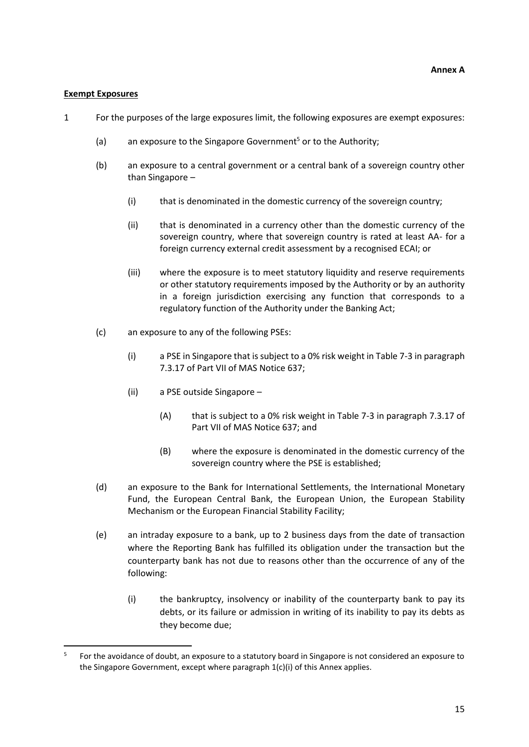#### **Exempt Exposures**

- 1 For the purposes of the large exposures limit, the following exposures are exempt exposures:
	- (a) an exposure to the Singapore Government<sup>5</sup> or to the Authority:
	- (b) an exposure to a central government or a central bank of a sovereign country other than Singapore –
		- (i) that is denominated in the domestic currency of the sovereign country;
		- (ii) that is denominated in a currency other than the domestic currency of the sovereign country, where that sovereign country is rated at least AA- for a foreign currency external credit assessment by a recognised ECAI; or
		- (iii) where the exposure is to meet statutory liquidity and reserve requirements or other statutory requirements imposed by the Authority or by an authority in a foreign jurisdiction exercising any function that corresponds to a regulatory function of the Authority under the Banking Act;
	- (c) an exposure to any of the following PSEs:
		- (i) a PSE in Singapore that is subject to a 0% risk weight in Table 7-3 in paragraph 7.3.17 of Part VII of MAS Notice 637;
		- (ii) a PSE outside Singapore
			- (A) that is subject to a 0% risk weight in Table 7-3 in paragraph 7.3.17 of Part VII of MAS Notice 637; and
			- (B) where the exposure is denominated in the domestic currency of the sovereign country where the PSE is established;
	- (d) an exposure to the Bank for International Settlements, the International Monetary Fund, the European Central Bank, the European Union, the European Stability Mechanism or the European Financial Stability Facility;
	- (e) an intraday exposure to a bank, up to 2 business days from the date of transaction where the Reporting Bank has fulfilled its obligation under the transaction but the counterparty bank has not due to reasons other than the occurrence of any of the following:
		- (i) the bankruptcy, insolvency or inability of the counterparty bank to pay its debts, or its failure or admission in writing of its inability to pay its debts as they become due;

<sup>5</sup> For the avoidance of doubt, an exposure to a statutory board in Singapore is not considered an exposure to the Singapore Government, except where paragraph 1(c)(i) of this Annex applies.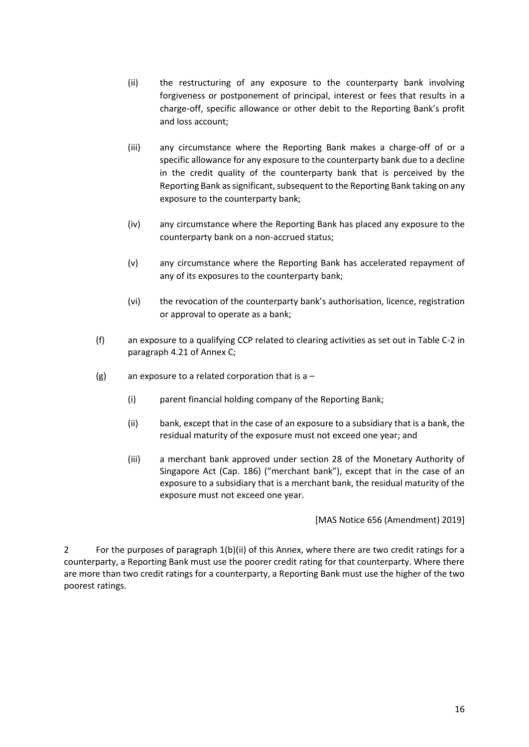- (ii) the restructuring of any exposure to the counterparty bank involving forgiveness or postponement of principal, interest or fees that results in a charge-off, specific allowance or other debit to the Reporting Bank's profit and loss account;
- (iii) any circumstance where the Reporting Bank makes a charge-off of or a specific allowance for any exposure to the counterparty bank due to a decline in the credit quality of the counterparty bank that is perceived by the Reporting Bank as significant, subsequent to the Reporting Bank taking on any exposure to the counterparty bank;
- (iv) any circumstance where the Reporting Bank has placed any exposure to the counterparty bank on a non-accrued status;
- (v) any circumstance where the Reporting Bank has accelerated repayment of any of its exposures to the counterparty bank;
- (vi) the revocation of the counterparty bank's authorisation, licence, registration or approval to operate as a bank;
- (f) an exposure to a qualifying CCP related to clearing activities as set out in Table C-2 in paragraph 4.21 of Annex C;
- (g) an exposure to a related corporation that is  $a -$ 
	- (i) parent financial holding company of the Reporting Bank;
	- (ii) bank, except that in the case of an exposure to a subsidiary that is a bank, the residual maturity of the exposure must not exceed one year; and
	- (iii) a merchant bank approved under section 28 of the Monetary Authority of Singapore Act (Cap. 186) ("merchant bank"), except that in the case of an exposure to a subsidiary that is a merchant bank, the residual maturity of the exposure must not exceed one year.

[MAS Notice 656 (Amendment) 2019]

2 For the purposes of paragraph 1(b)(ii) of this Annex, where there are two credit ratings for a counterparty, a Reporting Bank must use the poorer credit rating for that counterparty. Where there are more than two credit ratings for a counterparty, a Reporting Bank must use the higher of the two poorest ratings.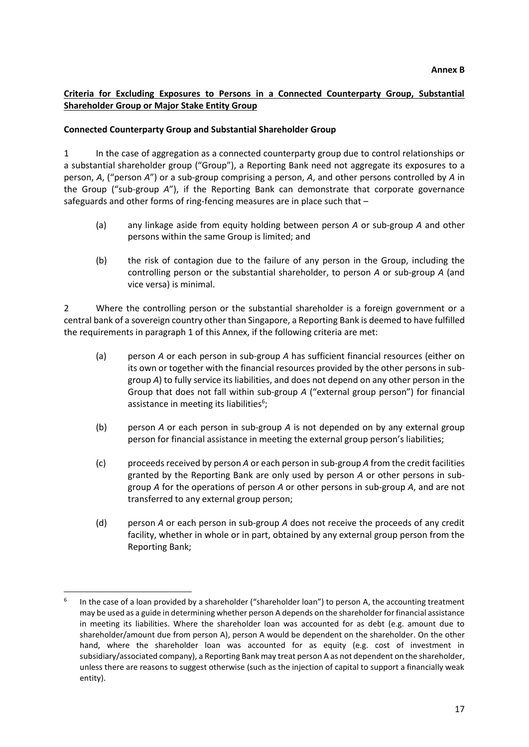# **Criteria for Excluding Exposures to Persons in a Connected Counterparty Group, Substantial Shareholder Group or Major Stake Entity Group**

### **Connected Counterparty Group and Substantial Shareholder Group**

1 In the case of aggregation as a connected counterparty group due to control relationships or a substantial shareholder group ("Group"), a Reporting Bank need not aggregate its exposures to a person, *A*, ("person *A*") or a sub-group comprising a person, *A*, and other persons controlled by *A* in the Group ("sub-group *A*"), if the Reporting Bank can demonstrate that corporate governance safeguards and other forms of ring-fencing measures are in place such that –

- (a) any linkage aside from equity holding between person *A* or sub-group *A* and other persons within the same Group is limited; and
- (b) the risk of contagion due to the failure of any person in the Group, including the controlling person or the substantial shareholder, to person *A* or sub-group *A* (and vice versa) is minimal.

2 Where the controlling person or the substantial shareholder is a foreign government or a central bank of a sovereign country other than Singapore, a Reporting Bank is deemed to have fulfilled the requirements in paragraph 1 of this Annex, if the following criteria are met:

- (a) person *A* or each person in sub-group *A* has sufficient financial resources (either on its own or together with the financial resources provided by the other persons in subgroup *A*) to fully service its liabilities, and does not depend on any other person in the Group that does not fall within sub-group *A* ("external group person") for financial assistance in meeting its liabilities<sup>6</sup>;
- (b) person *A* or each person in sub-group *A* is not depended on by any external group person for financial assistance in meeting the external group person's liabilities;
- (c) proceeds received by person *A* or each person in sub-group *A* from the credit facilities granted by the Reporting Bank are only used by person *A* or other persons in subgroup *A* for the operations of person *A* or other persons in sub-group *A*, and are not transferred to any external group person;
- (d) person *A* or each person in sub-group *A* does not receive the proceeds of any credit facility, whether in whole or in part, obtained by any external group person from the Reporting Bank;

<sup>6</sup> In the case of a loan provided by a shareholder ("shareholder loan") to person A, the accounting treatment may be used as a guide in determining whether person A depends on the shareholder for financial assistance in meeting its liabilities. Where the shareholder loan was accounted for as debt (e.g. amount due to shareholder/amount due from person A), person A would be dependent on the shareholder. On the other hand, where the shareholder loan was accounted for as equity (e.g. cost of investment in subsidiary/associated company), a Reporting Bank may treat person A as not dependent on the shareholder, unless there are reasons to suggest otherwise (such as the injection of capital to support a financially weak entity).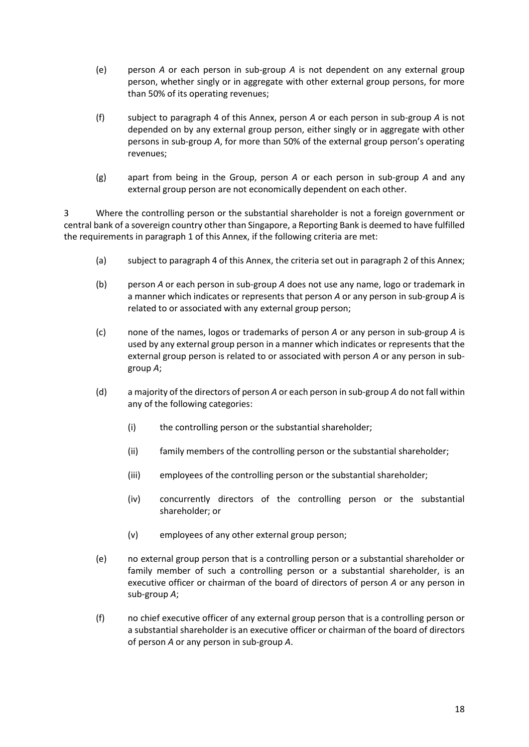- (e) person *A* or each person in sub-group *A* is not dependent on any external group person, whether singly or in aggregate with other external group persons, for more than 50% of its operating revenues;
- (f) subject to paragraph 4 of this Annex, person *A* or each person in sub-group *A* is not depended on by any external group person, either singly or in aggregate with other persons in sub-group *A*, for more than 50% of the external group person's operating revenues;
- (g) apart from being in the Group, person *A* or each person in sub-group *A* and any external group person are not economically dependent on each other.

3 Where the controlling person or the substantial shareholder is not a foreign government or central bank of a sovereign country other than Singapore, a Reporting Bank is deemed to have fulfilled the requirements in paragraph 1 of this Annex, if the following criteria are met:

- (a) subject to paragraph 4 of this Annex, the criteria set out in paragraph 2 of this Annex;
- (b) person *A* or each person in sub-group *A* does not use any name, logo or trademark in a manner which indicates or represents that person *A* or any person in sub-group *A* is related to or associated with any external group person;
- (c) none of the names, logos or trademarks of person *A* or any person in sub-group *A* is used by any external group person in a manner which indicates or represents that the external group person is related to or associated with person *A* or any person in subgroup *A*;
- (d) a majority of the directors of person *A* or each person in sub-group *A* do not fall within any of the following categories:
	- (i) the controlling person or the substantial shareholder;
	- (ii) family members of the controlling person or the substantial shareholder;
	- (iii) employees of the controlling person or the substantial shareholder;
	- (iv) concurrently directors of the controlling person or the substantial shareholder; or
	- (v) employees of any other external group person;
- (e) no external group person that is a controlling person or a substantial shareholder or family member of such a controlling person or a substantial shareholder, is an executive officer or chairman of the board of directors of person *A* or any person in sub-group *A*;
- (f) no chief executive officer of any external group person that is a controlling person or a substantial shareholder is an executive officer or chairman of the board of directors of person *A* or any person in sub-group *A*.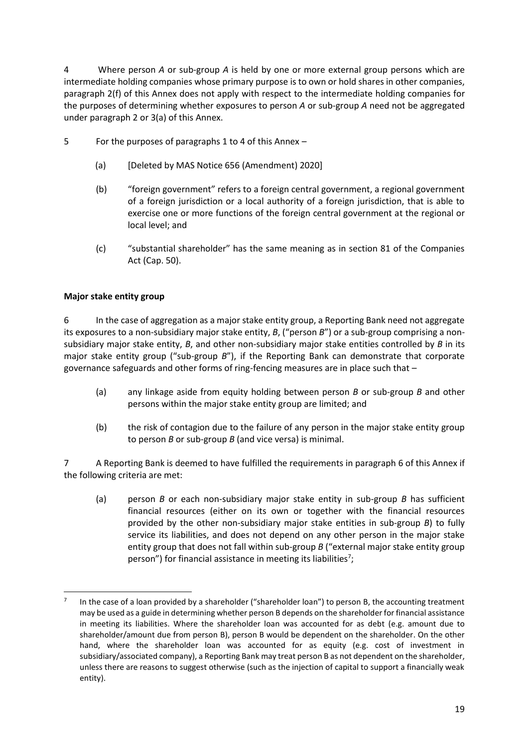4 Where person *A* or sub-group *A* is held by one or more external group persons which are intermediate holding companies whose primary purpose is to own or hold shares in other companies, paragraph 2(f) of this Annex does not apply with respect to the intermediate holding companies for the purposes of determining whether exposures to person *A* or sub-group *A* need not be aggregated under paragraph 2 or 3(a) of this Annex.

- 5 For the purposes of paragraphs 1 to 4 of this Annex
	- (a) [Deleted by MAS Notice 656 (Amendment) 2020]
	- (b) "foreign government" refers to a foreign central government, a regional government of a foreign jurisdiction or a local authority of a foreign jurisdiction, that is able to exercise one or more functions of the foreign central government at the regional or local level; and
	- (c) "substantial shareholder" has the same meaning as in section 81 of the Companies Act (Cap. 50).

# **Major stake entity group**

6 In the case of aggregation as a major stake entity group, a Reporting Bank need not aggregate its exposures to a non-subsidiary major stake entity, *B*, ("person *B*") or a sub-group comprising a nonsubsidiary major stake entity, *B*, and other non-subsidiary major stake entities controlled by *B* in its major stake entity group ("sub-group *B*"), if the Reporting Bank can demonstrate that corporate governance safeguards and other forms of ring-fencing measures are in place such that –

- (a) any linkage aside from equity holding between person *B* or sub-group *B* and other persons within the major stake entity group are limited; and
- (b) the risk of contagion due to the failure of any person in the major stake entity group to person *B* or sub-group *B* (and vice versa) is minimal.

7 A Reporting Bank is deemed to have fulfilled the requirements in paragraph 6 of this Annex if the following criteria are met:

(a) person *B* or each non-subsidiary major stake entity in sub-group *B* has sufficient financial resources (either on its own or together with the financial resources provided by the other non-subsidiary major stake entities in sub-group *B*) to fully service its liabilities, and does not depend on any other person in the major stake entity group that does not fall within sub-group *B* ("external major stake entity group person") for financial assistance in meeting its liabilities<sup>7</sup>;

<sup>7</sup> In the case of a loan provided by a shareholder ("shareholder loan") to person B, the accounting treatment may be used as a guide in determining whether person B depends on the shareholder for financial assistance in meeting its liabilities. Where the shareholder loan was accounted for as debt (e.g. amount due to shareholder/amount due from person B), person B would be dependent on the shareholder. On the other hand, where the shareholder loan was accounted for as equity (e.g. cost of investment in subsidiary/associated company), a Reporting Bank may treat person B as not dependent on the shareholder, unless there are reasons to suggest otherwise (such as the injection of capital to support a financially weak entity).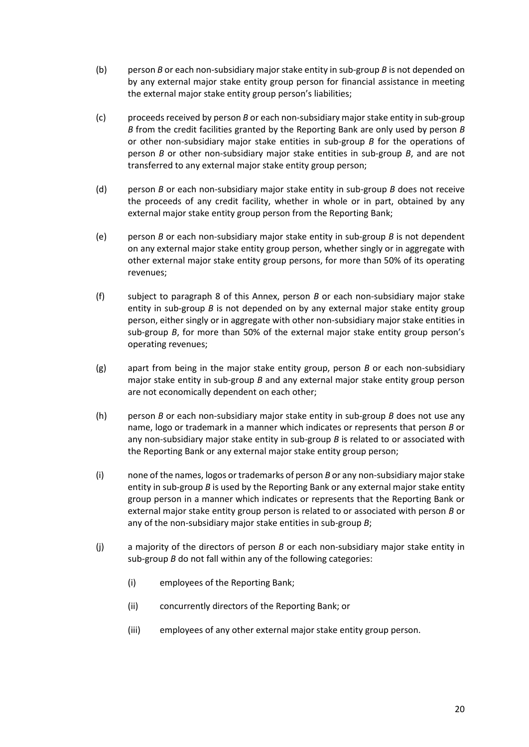- (b) person *B* or each non-subsidiary major stake entity in sub-group *B* is not depended on by any external major stake entity group person for financial assistance in meeting the external major stake entity group person's liabilities;
- (c) proceeds received by person *B* or each non-subsidiary major stake entity in sub-group *B* from the credit facilities granted by the Reporting Bank are only used by person *B* or other non-subsidiary major stake entities in sub-group *B* for the operations of person *B* or other non-subsidiary major stake entities in sub-group *B*, and are not transferred to any external major stake entity group person;
- (d) person *B* or each non-subsidiary major stake entity in sub-group *B* does not receive the proceeds of any credit facility, whether in whole or in part, obtained by any external major stake entity group person from the Reporting Bank;
- (e) person *B* or each non-subsidiary major stake entity in sub-group *B* is not dependent on any external major stake entity group person, whether singly or in aggregate with other external major stake entity group persons, for more than 50% of its operating revenues;
- (f) subject to paragraph 8 of this Annex, person *B* or each non-subsidiary major stake entity in sub-group *B* is not depended on by any external major stake entity group person, either singly or in aggregate with other non-subsidiary major stake entities in sub-group *B*, for more than 50% of the external major stake entity group person's operating revenues;
- (g) apart from being in the major stake entity group, person *B* or each non-subsidiary major stake entity in sub-group *B* and any external major stake entity group person are not economically dependent on each other;
- (h) person *B* or each non-subsidiary major stake entity in sub-group *B* does not use any name, logo or trademark in a manner which indicates or represents that person *B* or any non-subsidiary major stake entity in sub-group *B* is related to or associated with the Reporting Bank or any external major stake entity group person;
- (i) none of the names, logos or trademarks of person *B* or any non-subsidiary major stake entity in sub-group *B* is used by the Reporting Bank or any external major stake entity group person in a manner which indicates or represents that the Reporting Bank or external major stake entity group person is related to or associated with person *B* or any of the non-subsidiary major stake entities in sub-group *B*;
- (j) a majority of the directors of person *B* or each non-subsidiary major stake entity in sub-group *B* do not fall within any of the following categories:
	- (i) employees of the Reporting Bank;
	- (ii) concurrently directors of the Reporting Bank; or
	- (iii) employees of any other external major stake entity group person.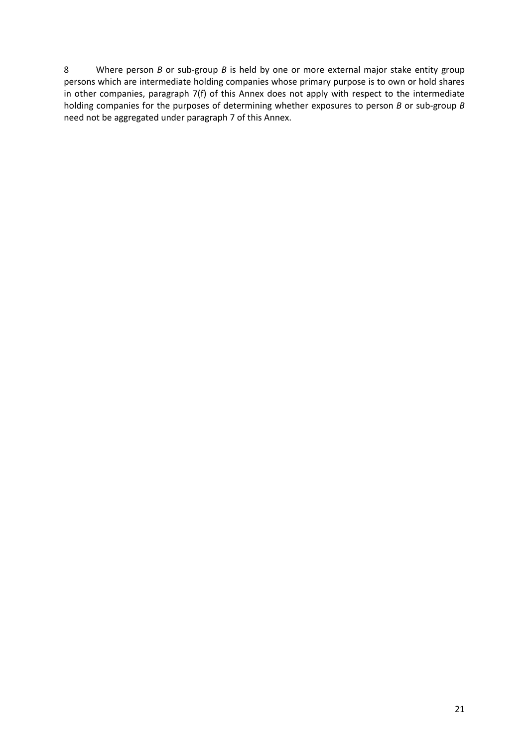8 Where person *B* or sub-group *B* is held by one or more external major stake entity group persons which are intermediate holding companies whose primary purpose is to own or hold shares in other companies, paragraph 7(f) of this Annex does not apply with respect to the intermediate holding companies for the purposes of determining whether exposures to person *B* or sub-group *B* need not be aggregated under paragraph 7 of this Annex.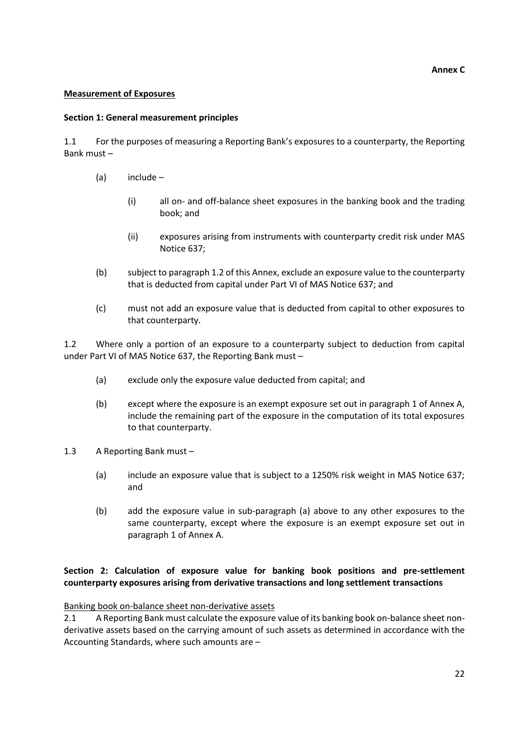#### **Annex C**

#### **Measurement of Exposures**

#### **Section 1: General measurement principles**

1.1 For the purposes of measuring a Reporting Bank's exposures to a counterparty, the Reporting Bank must –

- (a) include
	- (i) all on- and off-balance sheet exposures in the banking book and the trading book; and
	- (ii) exposures arising from instruments with counterparty credit risk under MAS Notice 637;
- (b) subject to paragraph 1.2 of this Annex, exclude an exposure value to the counterparty that is deducted from capital under Part VI of MAS Notice 637; and
- (c) must not add an exposure value that is deducted from capital to other exposures to that counterparty.

1.2 Where only a portion of an exposure to a counterparty subject to deduction from capital under Part VI of MAS Notice 637, the Reporting Bank must –

- (a) exclude only the exposure value deducted from capital; and
- (b) except where the exposure is an exempt exposure set out in paragraph 1 of Annex A, include the remaining part of the exposure in the computation of its total exposures to that counterparty.
- 1.3 A Reporting Bank must
	- (a) include an exposure value that is subject to a 1250% risk weight in MAS Notice 637; and
	- (b) add the exposure value in sub-paragraph (a) above to any other exposures to the same counterparty, except where the exposure is an exempt exposure set out in paragraph 1 of Annex A.

# **Section 2: Calculation of exposure value for banking book positions and pre-settlement counterparty exposures arising from derivative transactions and long settlement transactions**

Banking book on-balance sheet non-derivative assets

2.1 A Reporting Bank must calculate the exposure value of its banking book on-balance sheet nonderivative assets based on the carrying amount of such assets as determined in accordance with the Accounting Standards, where such amounts are –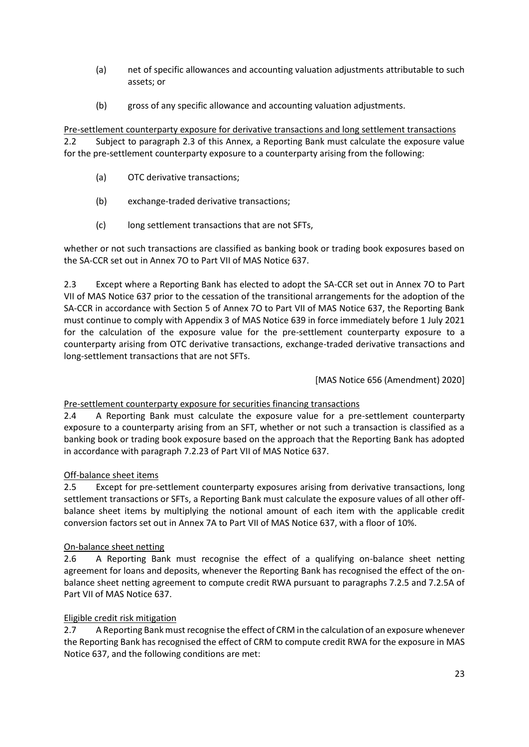- (a) net of specific allowances and accounting valuation adjustments attributable to such assets; or
- (b) gross of any specific allowance and accounting valuation adjustments.

Pre-settlement counterparty exposure for derivative transactions and long settlement transactions 2.2 Subject to paragraph 2.3 of this Annex, a Reporting Bank must calculate the exposure value for the pre-settlement counterparty exposure to a counterparty arising from the following:

- (a) OTC derivative transactions;
- (b) exchange-traded derivative transactions;
- (c) long settlement transactions that are not SFTs,

whether or not such transactions are classified as banking book or trading book exposures based on the SA-CCR set out in Annex 7O to Part VII of MAS Notice 637.

2.3 Except where a Reporting Bank has elected to adopt the SA-CCR set out in Annex 7O to Part VII of MAS Notice 637 prior to the cessation of the transitional arrangements for the adoption of the SA-CCR in accordance with Section 5 of Annex 7O to Part VII of MAS Notice 637, the Reporting Bank must continue to comply with Appendix 3 of MAS Notice 639 in force immediately before 1 July 2021 for the calculation of the exposure value for the pre-settlement counterparty exposure to a counterparty arising from OTC derivative transactions, exchange-traded derivative transactions and long-settlement transactions that are not SFTs.

[MAS Notice 656 (Amendment) 2020]

# Pre-settlement counterparty exposure for securities financing transactions

2.4 A Reporting Bank must calculate the exposure value for a pre-settlement counterparty exposure to a counterparty arising from an SFT, whether or not such a transaction is classified as a banking book or trading book exposure based on the approach that the Reporting Bank has adopted in accordance with paragraph 7.2.23 of Part VII of MAS Notice 637.

# Off-balance sheet items

2.5 Except for pre-settlement counterparty exposures arising from derivative transactions, long settlement transactions or SFTs, a Reporting Bank must calculate the exposure values of all other offbalance sheet items by multiplying the notional amount of each item with the applicable credit conversion factors set out in Annex 7A to Part VII of MAS Notice 637, with a floor of 10%.

# On-balance sheet netting

2.6 A Reporting Bank must recognise the effect of a qualifying on-balance sheet netting agreement for loans and deposits, whenever the Reporting Bank has recognised the effect of the onbalance sheet netting agreement to compute credit RWA pursuant to paragraphs 7.2.5 and 7.2.5A of Part VII of MAS Notice 637.

# Eligible credit risk mitigation

2.7 A Reporting Bank must recognise the effect of CRM in the calculation of an exposure whenever the Reporting Bank has recognised the effect of CRM to compute credit RWA for the exposure in MAS Notice 637, and the following conditions are met: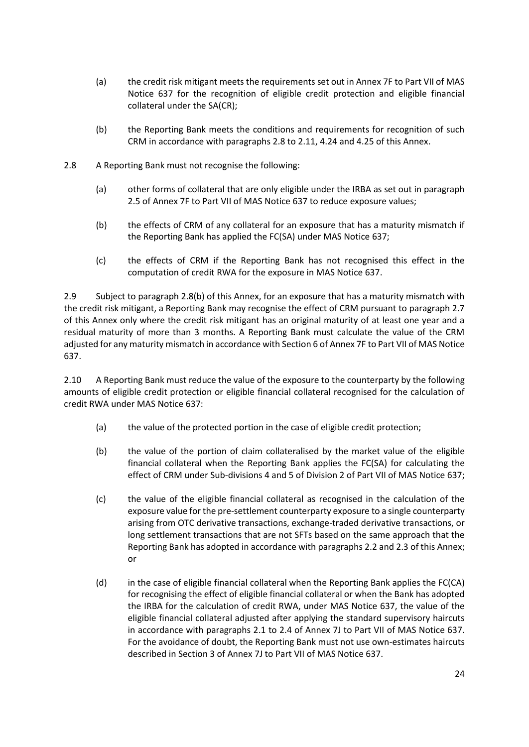- (a) the credit risk mitigant meets the requirements set out in Annex 7F to Part VII of MAS Notice 637 for the recognition of eligible credit protection and eligible financial collateral under the SA(CR);
- (b) the Reporting Bank meets the conditions and requirements for recognition of such CRM in accordance with paragraphs 2.8 to 2.11, 4.24 and 4.25 of this Annex.
- 2.8 A Reporting Bank must not recognise the following:
	- (a) other forms of collateral that are only eligible under the IRBA as set out in paragraph 2.5 of Annex 7F to Part VII of MAS Notice 637 to reduce exposure values;
	- (b) the effects of CRM of any collateral for an exposure that has a maturity mismatch if the Reporting Bank has applied the FC(SA) under MAS Notice 637;
	- (c) the effects of CRM if the Reporting Bank has not recognised this effect in the computation of credit RWA for the exposure in MAS Notice 637.

2.9 Subject to paragraph 2.8(b) of this Annex, for an exposure that has a maturity mismatch with the credit risk mitigant, a Reporting Bank may recognise the effect of CRM pursuant to paragraph 2.7 of this Annex only where the credit risk mitigant has an original maturity of at least one year and a residual maturity of more than 3 months. A Reporting Bank must calculate the value of the CRM adjusted for any maturity mismatch in accordance with Section 6 of Annex 7F to Part VII of MAS Notice 637.

2.10 A Reporting Bank must reduce the value of the exposure to the counterparty by the following amounts of eligible credit protection or eligible financial collateral recognised for the calculation of credit RWA under MAS Notice 637:

- (a) the value of the protected portion in the case of eligible credit protection;
- (b) the value of the portion of claim collateralised by the market value of the eligible financial collateral when the Reporting Bank applies the FC(SA) for calculating the effect of CRM under Sub-divisions 4 and 5 of Division 2 of Part VII of MAS Notice 637;
- (c) the value of the eligible financial collateral as recognised in the calculation of the exposure value for the pre-settlement counterparty exposure to a single counterparty arising from OTC derivative transactions, exchange-traded derivative transactions, or long settlement transactions that are not SFTs based on the same approach that the Reporting Bank has adopted in accordance with paragraphs 2.2 and 2.3 of this Annex; or
- (d) in the case of eligible financial collateral when the Reporting Bank applies the FC(CA) for recognising the effect of eligible financial collateral or when the Bank has adopted the IRBA for the calculation of credit RWA, under MAS Notice 637, the value of the eligible financial collateral adjusted after applying the standard supervisory haircuts in accordance with paragraphs 2.1 to 2.4 of Annex 7J to Part VII of MAS Notice 637. For the avoidance of doubt, the Reporting Bank must not use own-estimates haircuts described in Section 3 of Annex 7J to Part VII of MAS Notice 637.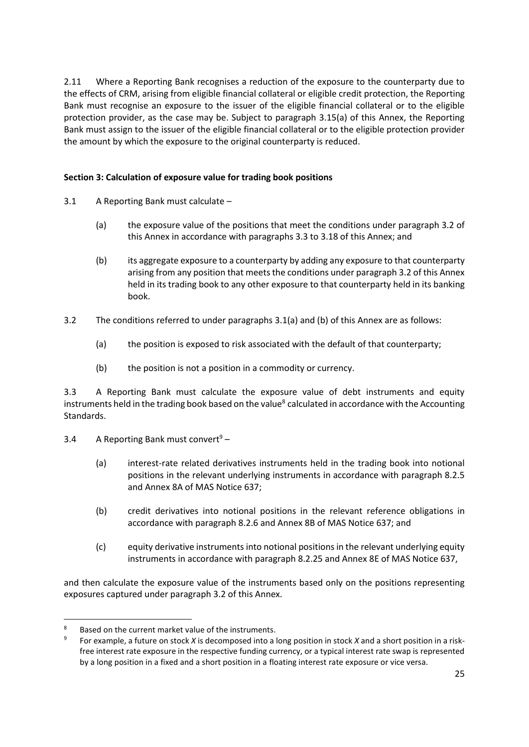2.11 Where a Reporting Bank recognises a reduction of the exposure to the counterparty due to the effects of CRM, arising from eligible financial collateral or eligible credit protection, the Reporting Bank must recognise an exposure to the issuer of the eligible financial collateral or to the eligible protection provider, as the case may be. Subject to paragraph 3.15(a) of this Annex, the Reporting Bank must assign to the issuer of the eligible financial collateral or to the eligible protection provider the amount by which the exposure to the original counterparty is reduced.

# **Section 3: Calculation of exposure value for trading book positions**

- 3.1 A Reporting Bank must calculate
	- (a) the exposure value of the positions that meet the conditions under paragraph 3.2 of this Annex in accordance with paragraphs 3.3 to 3.18 of this Annex; and
	- (b) its aggregate exposure to a counterparty by adding any exposure to that counterparty arising from any position that meets the conditions under paragraph 3.2 of this Annex held in its trading book to any other exposure to that counterparty held in its banking book.
- 3.2 The conditions referred to under paragraphs 3.1(a) and (b) of this Annex are as follows:
	- (a) the position is exposed to risk associated with the default of that counterparty;
	- (b) the position is not a position in a commodity or currency.

3.3 A Reporting Bank must calculate the exposure value of debt instruments and equity instruments held in the trading book based on the value<sup>8</sup> calculated in accordance with the Accounting Standards.

- 3.4 A Reporting Bank must convert<sup>9</sup>
	- (a) interest-rate related derivatives instruments held in the trading book into notional positions in the relevant underlying instruments in accordance with paragraph 8.2.5 and Annex 8A of MAS Notice 637;
	- (b) credit derivatives into notional positions in the relevant reference obligations in accordance with paragraph 8.2.6 and Annex 8B of MAS Notice 637; and
	- (c) equity derivative instruments into notional positions in the relevant underlying equity instruments in accordance with paragraph 8.2.25 and Annex 8E of MAS Notice 637,

and then calculate the exposure value of the instruments based only on the positions representing exposures captured under paragraph 3.2 of this Annex.

Based on the current market value of the instruments.

<sup>9</sup> For example, a future on stock *X* is decomposed into a long position in stock *X* and a short position in a riskfree interest rate exposure in the respective funding currency, or a typical interest rate swap is represented by a long position in a fixed and a short position in a floating interest rate exposure or vice versa.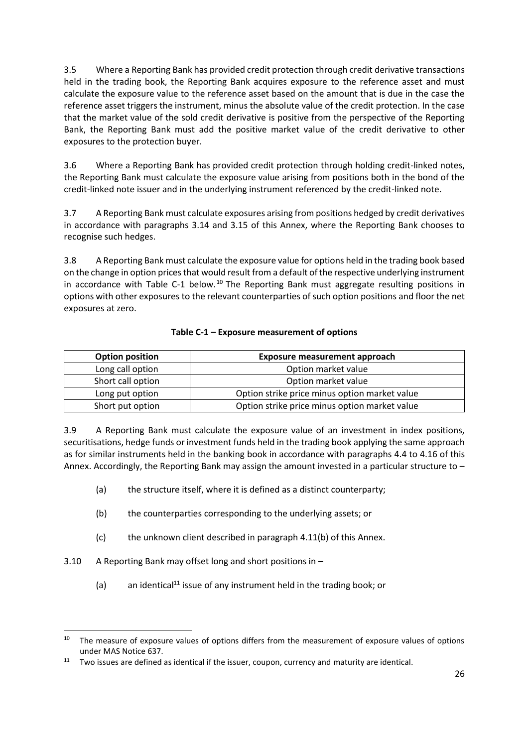3.5 Where a Reporting Bank has provided credit protection through credit derivative transactions held in the trading book, the Reporting Bank acquires exposure to the reference asset and must calculate the exposure value to the reference asset based on the amount that is due in the case the reference asset triggers the instrument, minus the absolute value of the credit protection. In the case that the market value of the sold credit derivative is positive from the perspective of the Reporting Bank, the Reporting Bank must add the positive market value of the credit derivative to other exposures to the protection buyer.

3.6 Where a Reporting Bank has provided credit protection through holding credit-linked notes, the Reporting Bank must calculate the exposure value arising from positions both in the bond of the credit-linked note issuer and in the underlying instrument referenced by the credit-linked note.

3.7 A Reporting Bank must calculate exposures arising from positions hedged by credit derivatives in accordance with paragraphs 3.14 and 3.15 of this Annex, where the Reporting Bank chooses to recognise such hedges.

3.8 A Reporting Bank must calculate the exposure value for options held in the trading book based on the change in option prices that would result from a default of the respective underlying instrument in accordance with Table C-1 below.<sup>10</sup> The Reporting Bank must aggregate resulting positions in options with other exposures to the relevant counterparties of such option positions and floor the net exposures at zero.

| <b>Option position</b> | <b>Exposure measurement approach</b>          |
|------------------------|-----------------------------------------------|
| Long call option       | Option market value                           |
| Short call option      | Option market value                           |
| Long put option        | Option strike price minus option market value |
| Short put option       | Option strike price minus option market value |

# **Table C-1 – Exposure measurement of options**

3.9 A Reporting Bank must calculate the exposure value of an investment in index positions, securitisations, hedge funds or investment funds held in the trading book applying the same approach as for similar instruments held in the banking book in accordance with paragraphs 4.4 to 4.16 of this Annex. Accordingly, the Reporting Bank may assign the amount invested in a particular structure to –

- (a) the structure itself, where it is defined as a distinct counterparty;
- (b) the counterparties corresponding to the underlying assets; or
- (c) the unknown client described in paragraph 4.11(b) of this Annex.
- 3.10 A Reporting Bank may offset long and short positions in
	- (a) an identical<sup>11</sup> issue of any instrument held in the trading book; or

<sup>&</sup>lt;sup>10</sup> The measure of exposure values of options differs from the measurement of exposure values of options under MAS Notice 637.

 $11$  Two issues are defined as identical if the issuer, coupon, currency and maturity are identical.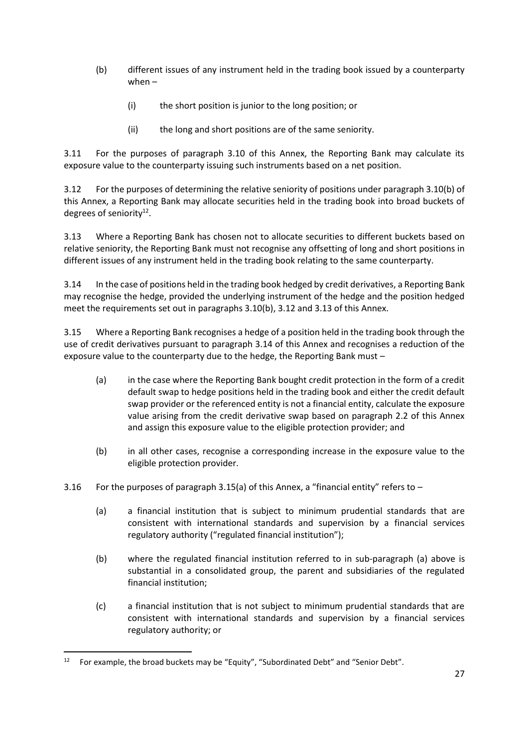- (b) different issues of any instrument held in the trading book issued by a counterparty when –
	- (i) the short position is junior to the long position; or
	- (ii) the long and short positions are of the same seniority.

3.11 For the purposes of paragraph 3.10 of this Annex, the Reporting Bank may calculate its exposure value to the counterparty issuing such instruments based on a net position.

3.12 For the purposes of determining the relative seniority of positions under paragraph 3.10(b) of this Annex, a Reporting Bank may allocate securities held in the trading book into broad buckets of degrees of seniority<sup>12</sup>.

3.13 Where a Reporting Bank has chosen not to allocate securities to different buckets based on relative seniority, the Reporting Bank must not recognise any offsetting of long and short positions in different issues of any instrument held in the trading book relating to the same counterparty.

3.14 In the case of positions held in the trading book hedged by credit derivatives, a Reporting Bank may recognise the hedge, provided the underlying instrument of the hedge and the position hedged meet the requirements set out in paragraphs 3.10(b), 3.12 and 3.13 of this Annex.

3.15 Where a Reporting Bank recognises a hedge of a position held in the trading book through the use of credit derivatives pursuant to paragraph 3.14 of this Annex and recognises a reduction of the exposure value to the counterparty due to the hedge, the Reporting Bank must –

- (a) in the case where the Reporting Bank bought credit protection in the form of a credit default swap to hedge positions held in the trading book and either the credit default swap provider or the referenced entity is not a financial entity, calculate the exposure value arising from the credit derivative swap based on paragraph 2.2 of this Annex and assign this exposure value to the eligible protection provider; and
- (b) in all other cases, recognise a corresponding increase in the exposure value to the eligible protection provider.
- 3.16 For the purposes of paragraph 3.15(a) of this Annex, a "financial entity" refers to  $-$ 
	- (a) a financial institution that is subject to minimum prudential standards that are consistent with international standards and supervision by a financial services regulatory authority ("regulated financial institution");
	- (b) where the regulated financial institution referred to in sub-paragraph (a) above is substantial in a consolidated group, the parent and subsidiaries of the regulated financial institution;
	- (c) a financial institution that is not subject to minimum prudential standards that are consistent with international standards and supervision by a financial services regulatory authority; or

<sup>&</sup>lt;sup>12</sup> For example, the broad buckets may be "Equity", "Subordinated Debt" and "Senior Debt".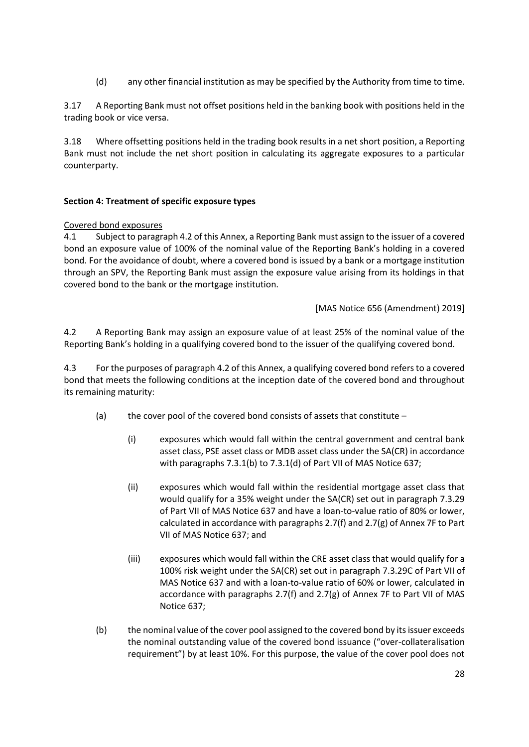(d) any other financial institution as may be specified by the Authority from time to time.

3.17 A Reporting Bank must not offset positions held in the banking book with positions held in the trading book or vice versa.

3.18 Where offsetting positions held in the trading book results in a net short position, a Reporting Bank must not include the net short position in calculating its aggregate exposures to a particular counterparty.

#### **Section 4: Treatment of specific exposure types**

#### Covered bond exposures

4.1 Subject to paragraph 4.2 of this Annex, a Reporting Bank must assign to the issuer of a covered bond an exposure value of 100% of the nominal value of the Reporting Bank's holding in a covered bond. For the avoidance of doubt, where a covered bond is issued by a bank or a mortgage institution through an SPV, the Reporting Bank must assign the exposure value arising from its holdings in that covered bond to the bank or the mortgage institution.

[MAS Notice 656 (Amendment) 2019]

4.2 A Reporting Bank may assign an exposure value of at least 25% of the nominal value of the Reporting Bank's holding in a qualifying covered bond to the issuer of the qualifying covered bond.

4.3 For the purposes of paragraph 4.2 of this Annex, a qualifying covered bond refers to a covered bond that meets the following conditions at the inception date of the covered bond and throughout its remaining maturity:

- (a) the cover pool of the covered bond consists of assets that constitute
	- (i) exposures which would fall within the central government and central bank asset class, PSE asset class or MDB asset class under the SA(CR) in accordance with paragraphs 7.3.1(b) to 7.3.1(d) of Part VII of MAS Notice 637;
	- (ii) exposures which would fall within the residential mortgage asset class that would qualify for a 35% weight under the SA(CR) set out in paragraph 7.3.29 of Part VII of MAS Notice 637 and have a loan-to-value ratio of 80% or lower, calculated in accordance with paragraphs 2.7(f) and 2.7(g) of Annex 7F to Part VII of MAS Notice 637; and
	- (iii) exposures which would fall within the CRE asset class that would qualify for a 100% risk weight under the SA(CR) set out in paragraph 7.3.29C of Part VII of MAS Notice 637 and with a loan-to-value ratio of 60% or lower, calculated in accordance with paragraphs 2.7(f) and 2.7(g) of Annex 7F to Part VII of MAS Notice 637;
- (b) the nominal value of the cover pool assigned to the covered bond by its issuer exceeds the nominal outstanding value of the covered bond issuance ("over-collateralisation requirement") by at least 10%. For this purpose, the value of the cover pool does not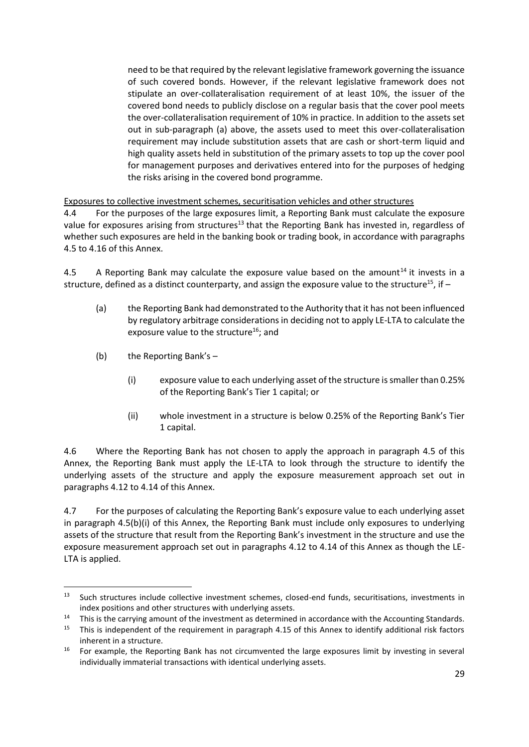need to be that required by the relevant legislative framework governing the issuance of such covered bonds. However, if the relevant legislative framework does not stipulate an over-collateralisation requirement of at least 10%, the issuer of the covered bond needs to publicly disclose on a regular basis that the cover pool meets the over-collateralisation requirement of 10% in practice. In addition to the assets set out in sub-paragraph (a) above, the assets used to meet this over-collateralisation requirement may include substitution assets that are cash or short-term liquid and high quality assets held in substitution of the primary assets to top up the cover pool for management purposes and derivatives entered into for the purposes of hedging the risks arising in the covered bond programme.

Exposures to collective investment schemes, securitisation vehicles and other structures

4.4 For the purposes of the large exposures limit, a Reporting Bank must calculate the exposure value for exposures arising from structures<sup>13</sup> that the Reporting Bank has invested in, regardless of whether such exposures are held in the banking book or trading book, in accordance with paragraphs 4.5 to 4.16 of this Annex.

4.5 A Reporting Bank may calculate the exposure value based on the amount<sup>14</sup> it invests in a structure, defined as a distinct counterparty, and assign the exposure value to the structure<sup>15</sup>, if  $-$ 

- <span id="page-28-0"></span>(a) the Reporting Bank had demonstrated to the Authority that it has not been influenced by regulatory arbitrage considerations in deciding not to apply LE-LTA to calculate the exposure value to the structure<sup>16</sup>; and
- (b) the Reporting Bank's
	- (i) exposure value to each underlying asset of the structure is smaller than 0.25% of the Reporting Bank's Tier 1 capital; or
	- (ii) whole investment in a structure is below 0.25% of the Reporting Bank's Tier 1 capital.

4.6 Where the Reporting Bank has not chosen to apply the approach in paragraph 4.5 of this Annex, the Reporting Bank must apply the LE-LTA to look through the structure to identify the underlying assets of the structure and apply the exposure measurement approach set out in paragraphs 4.12 to 4.14 of this Annex.

4.7 For the purposes of calculating the Reporting Bank's exposure value to each underlying asset in paragraph 4.5(b)(i) of this Annex, the Reporting Bank must include only exposures to underlying assets of the structure that result from the Reporting Bank's investment in the structure and use the exposure measurement approach set out in paragraphs 4.12 to 4.14 of this Annex as though the LE-LTA is applied.

<sup>&</sup>lt;sup>13</sup> Such structures include collective investment schemes, closed-end funds, securitisations, investments in index positions and other structures with underlying assets.

<sup>&</sup>lt;sup>14</sup> This is the carrying amount of the investment as determined in accordance with the Accounting Standards.<br><sup>15</sup> This is independent of the requirement in paragraph 4.15 of this Annex to identify additional risk factors

<sup>15</sup> This is independent of the requirement in paragraph 4.15 of this Annex to identify additional risk factors inherent in a structure.

<sup>&</sup>lt;sup>16</sup> For example, the Reporting Bank has not circumvented the large exposures limit by investing in several individually immaterial transactions with identical underlying assets.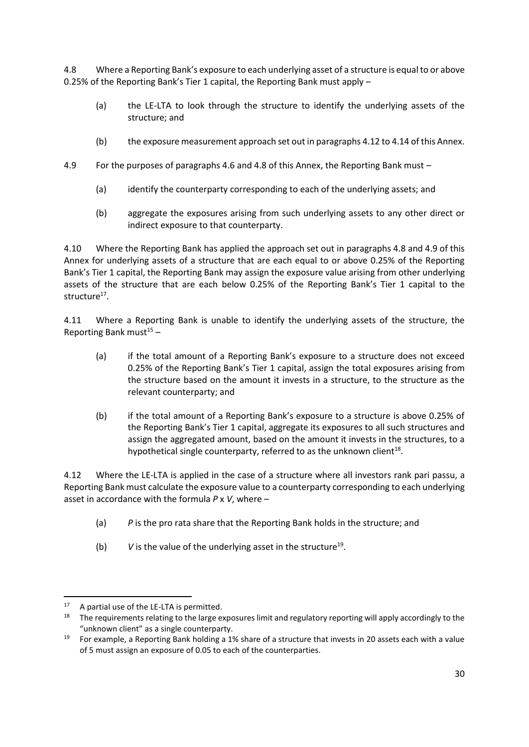4.8 Where a Reporting Bank's exposure to each underlying asset of a structure is equal to or above 0.25% of the Reporting Bank's Tier 1 capital, the Reporting Bank must apply –

- (a) the LE-LTA to look through the structure to identify the underlying assets of the structure; and
- (b) the exposure measurement approach set out in paragraphs 4.12 to 4.14 of this Annex.
- 4.9 For the purposes of paragraphs 4.6 and 4.8 of this Annex, the Reporting Bank must
	- (a) identify the counterparty corresponding to each of the underlying assets; and
	- (b) aggregate the exposures arising from such underlying assets to any other direct or indirect exposure to that counterparty.

4.10 Where the Reporting Bank has applied the approach set out in paragraphs 4.8 and 4.9 of this Annex for underlying assets of a structure that are each equal to or above 0.25% of the Reporting Bank's Tier 1 capital, the Reporting Bank may assign the exposure value arising from other underlying assets of the structure that are each below 0.25% of the Reporting Bank's Tier 1 capital to the structure<sup>17</sup>.

4.11 Where a Reporting Bank is unable to identify the underlying assets of the structure, the Reporting Bank must $15 15 -$ 

- (a) if the total amount of a Reporting Bank's exposure to a structure does not exceed 0.25% of the Reporting Bank's Tier 1 capital, assign the total exposures arising from the structure based on the amount it invests in a structure, to the structure as the relevant counterparty; and
- (b) if the total amount of a Reporting Bank's exposure to a structure is above 0.25% of the Reporting Bank's Tier 1 capital, aggregate its exposures to all such structures and assign the aggregated amount, based on the amount it invests in the structures, to a hypothetical single counterparty, referred to as the unknown client $^{18}$ .

4.12 Where the LE-LTA is applied in the case of a structure where all investors rank pari passu, a Reporting Bank must calculate the exposure value to a counterparty corresponding to each underlying asset in accordance with the formula *P* x *V*, where –

- (a) *P* is the pro rata share that the Reporting Bank holds in the structure; and
- (b)  $V$  is the value of the underlying asset in the structure<sup>19</sup>.

<sup>&</sup>lt;sup>17</sup> A partial use of the LE-LTA is permitted.

<sup>&</sup>lt;sup>18</sup> The requirements relating to the large exposures limit and regulatory reporting will apply accordingly to the "unknown client" as a single counterparty.

<sup>&</sup>lt;sup>19</sup> For example, a Reporting Bank holding a 1% share of a structure that invests in 20 assets each with a value of 5 must assign an exposure of 0.05 to each of the counterparties.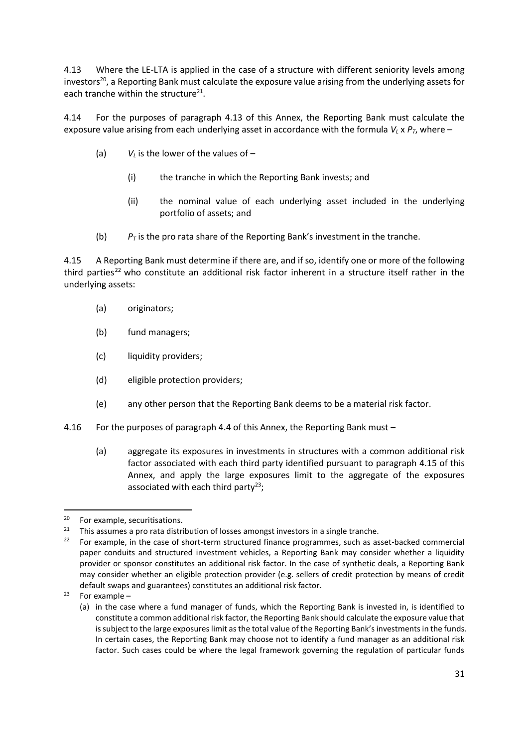4.13 Where the LE-LTA is applied in the case of a structure with different seniority levels among investors<sup>20</sup>, a Reporting Bank must calculate the exposure value arising from the underlying assets for each tranche within the structure $^{21}$ .

4.14 For the purposes of paragraph 4.13 of this Annex, the Reporting Bank must calculate the exposure value arising from each underlying asset in accordance with the formula  $V_L \times P_T$ , where –

- (a)  $V_L$  is the lower of the values of  $-$ 
	- (i) the tranche in which the Reporting Bank invests; and
	- (ii) the nominal value of each underlying asset included in the underlying portfolio of assets; and
- (b)  $P_T$  is the pro rata share of the Reporting Bank's investment in the tranche.

4.15 A Reporting Bank must determine if there are, and if so, identify one or more of the following third parties<sup>22</sup> who constitute an additional risk factor inherent in a structure itself rather in the underlying assets:

- (a) originators;
- (b) fund managers;
- (c) liquidity providers;
- (d) eligible protection providers;
- (e) any other person that the Reporting Bank deems to be a material risk factor.
- 4.16 For the purposes of paragraph 4.4 of this Annex, the Reporting Bank must
	- (a) aggregate its exposures in investments in structures with a common additional risk factor associated with each third party identified pursuant to paragraph 4.15 of this Annex, and apply the large exposures limit to the aggregate of the exposures associated with each third party<sup>23</sup>;

<sup>&</sup>lt;sup>20</sup> For example, securitisations.<br><sup>21</sup> This assumes a nro rata distri

<sup>&</sup>lt;sup>21</sup> This assumes a pro rata distribution of losses amongst investors in a single tranche.<br><sup>22</sup> For example, in the case of short-term structured finance programmes, such as as

<sup>22</sup> For example, in the case of short-term structured finance programmes, such as asset-backed commercial paper conduits and structured investment vehicles, a Reporting Bank may consider whether a liquidity provider or sponsor constitutes an additional risk factor. In the case of synthetic deals, a Reporting Bank may consider whether an eligible protection provider (e.g. sellers of credit protection by means of credit default swaps and guarantees) constitutes an additional risk factor.

 $23$  For example –

<sup>(</sup>a) in the case where a fund manager of funds, which the Reporting Bank is invested in, is identified to constitute a common additional risk factor, the Reporting Bank should calculate the exposure value that is subject to the large exposures limit as the total value of the Reporting Bank's investments in the funds. In certain cases, the Reporting Bank may choose not to identify a fund manager as an additional risk factor. Such cases could be where the legal framework governing the regulation of particular funds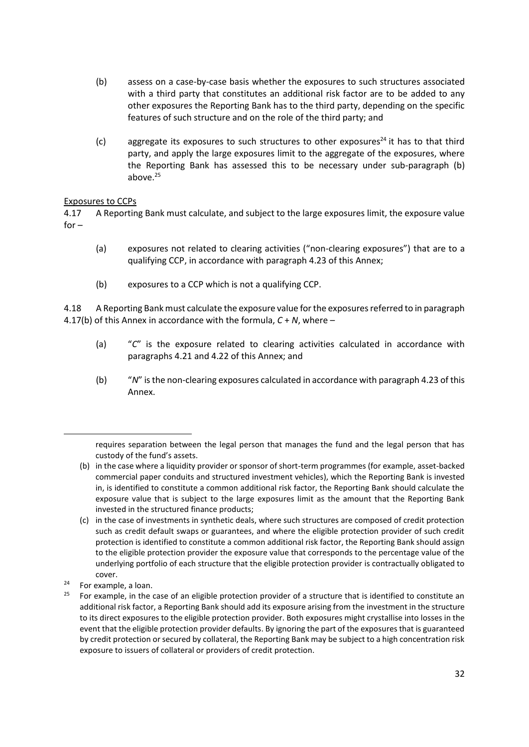- (b) assess on a case-by-case basis whether the exposures to such structures associated with a third party that constitutes an additional risk factor are to be added to any other exposures the Reporting Bank has to the third party, depending on the specific features of such structure and on the role of the third party; and
- (c) aggregate its exposures to such structures to other exposures<sup>24</sup> it has to that third party, and apply the large exposures limit to the aggregate of the exposures, where the Reporting Bank has assessed this to be necessary under sub-paragraph (b) above. 25

# Exposures to CCPs

4.17 A Reporting Bank must calculate, and subject to the large exposures limit, the exposure value  $for -$ 

- (a) exposures not related to clearing activities ("non-clearing exposures") that are to a qualifying CCP, in accordance with paragraph 4.23 of this Annex;
- (b) exposures to a CCP which is not a qualifying CCP.

4.18 A Reporting Bank must calculate the exposure value for the exposures referred to in paragraph 4.17(b) of this Annex in accordance with the formula, *C* + *N*, where –

- (a) "*C*" is the exposure related to clearing activities calculated in accordance with paragraphs 4.21 and 4.22 of this Annex; and
- (b) "*N*" is the non-clearing exposures calculated in accordance with paragraph 4.23 of this Annex.

requires separation between the legal person that manages the fund and the legal person that has custody of the fund's assets.

<sup>(</sup>b) in the case where a liquidity provider or sponsor of short-term programmes (for example, asset-backed commercial paper conduits and structured investment vehicles), which the Reporting Bank is invested in, is identified to constitute a common additional risk factor, the Reporting Bank should calculate the exposure value that is subject to the large exposures limit as the amount that the Reporting Bank invested in the structured finance products;

<sup>(</sup>c) in the case of investments in synthetic deals, where such structures are composed of credit protection such as credit default swaps or guarantees, and where the eligible protection provider of such credit protection is identified to constitute a common additional risk factor, the Reporting Bank should assign to the eligible protection provider the exposure value that corresponds to the percentage value of the underlying portfolio of each structure that the eligible protection provider is contractually obligated to cover.

 $24$  For example, a loan.

<sup>&</sup>lt;sup>25</sup> For example, in the case of an eligible protection provider of a structure that is identified to constitute an additional risk factor, a Reporting Bank should add its exposure arising from the investment in the structure to its direct exposures to the eligible protection provider. Both exposures might crystallise into losses in the event that the eligible protection provider defaults. By ignoring the part of the exposures that is guaranteed by credit protection or secured by collateral, the Reporting Bank may be subject to a high concentration risk exposure to issuers of collateral or providers of credit protection.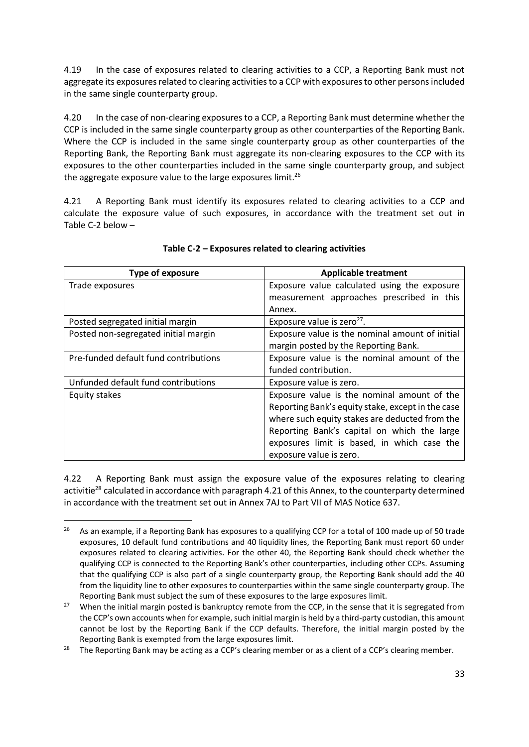4.19 In the case of exposures related to clearing activities to a CCP, a Reporting Bank must not aggregate its exposures related to clearing activities to a CCP with exposures to other persons included in the same single counterparty group.

4.20 In the case of non-clearing exposures to a CCP, a Reporting Bank must determine whether the CCP is included in the same single counterparty group as other counterparties of the Reporting Bank. Where the CCP is included in the same single counterparty group as other counterparties of the Reporting Bank, the Reporting Bank must aggregate its non-clearing exposures to the CCP with its exposures to the other counterparties included in the same single counterparty group, and subject the aggregate exposure value to the large exposures limit.<sup>26</sup>

4.21 A Reporting Bank must identify its exposures related to clearing activities to a CCP and calculate the exposure value of such exposures, in accordance with the treatment set out in Table C-2 below –

| <b>Type of exposure</b>               | <b>Applicable treatment</b>                       |
|---------------------------------------|---------------------------------------------------|
| Trade exposures                       | Exposure value calculated using the exposure      |
|                                       | measurement approaches prescribed in this         |
|                                       | Annex.                                            |
| Posted segregated initial margin      | Exposure value is zero <sup>27</sup> .            |
| Posted non-segregated initial margin  | Exposure value is the nominal amount of initial   |
|                                       | margin posted by the Reporting Bank.              |
| Pre-funded default fund contributions | Exposure value is the nominal amount of the       |
|                                       | funded contribution.                              |
| Unfunded default fund contributions   | Exposure value is zero.                           |
| Equity stakes                         | Exposure value is the nominal amount of the       |
|                                       | Reporting Bank's equity stake, except in the case |
|                                       | where such equity stakes are deducted from the    |
|                                       | Reporting Bank's capital on which the large       |
|                                       | exposures limit is based, in which case the       |
|                                       | exposure value is zero.                           |

#### **Table C-2 – Exposures related to clearing activities**

4.22 A Reporting Bank must assign the exposure value of the exposures relating to clearing activitie<sup>28</sup> calculated in accordance with paragraph 4.21 of this Annex, to the counterparty determined in accordance with the treatment set out in Annex 7AJ to Part VII of MAS Notice 637.

<sup>&</sup>lt;sup>26</sup> As an example, if a Reporting Bank has exposures to a qualifying CCP for a total of 100 made up of 50 trade exposures, 10 default fund contributions and 40 liquidity lines, the Reporting Bank must report 60 under exposures related to clearing activities. For the other 40, the Reporting Bank should check whether the qualifying CCP is connected to the Reporting Bank's other counterparties, including other CCPs. Assuming that the qualifying CCP is also part of a single counterparty group, the Reporting Bank should add the 40 from the liquidity line to other exposures to counterparties within the same single counterparty group. The Reporting Bank must subject the sum of these exposures to the large exposures limit.

<sup>&</sup>lt;sup>27</sup> When the initial margin posted is bankruptcy remote from the CCP, in the sense that it is segregated from the CCP's own accounts when for example, such initial margin is held by a third-party custodian, this amount cannot be lost by the Reporting Bank if the CCP defaults. Therefore, the initial margin posted by the Reporting Bank is exempted from the large exposures limit.

<sup>&</sup>lt;sup>28</sup> The Reporting Bank may be acting as a CCP's clearing member or as a client of a CCP's clearing member.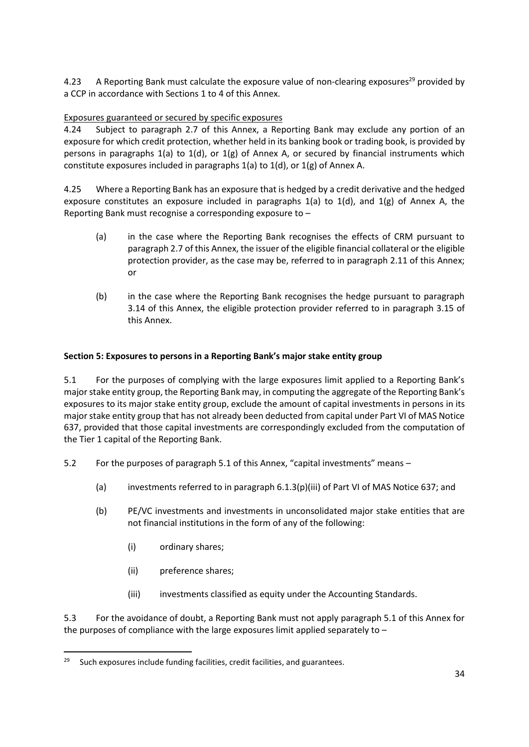4.23 A Reporting Bank must calculate the exposure value of non-clearing exposures<sup>29</sup> provided by a CCP in accordance with Sections 1 to 4 of this Annex.

# Exposures guaranteed or secured by specific exposures

4.24 Subject to paragraph 2.7 of this Annex, a Reporting Bank may exclude any portion of an exposure for which credit protection, whether held in its banking book or trading book, is provided by persons in paragraphs 1(a) to 1(d), or 1(g) of Annex A, or secured by financial instruments which constitute exposures included in paragraphs 1(a) to 1(d), or 1(g) of Annex A.

4.25 Where a Reporting Bank has an exposure that is hedged by a credit derivative and the hedged exposure constitutes an exposure included in paragraphs  $1(a)$  to  $1(d)$ , and  $1(g)$  of Annex A, the Reporting Bank must recognise a corresponding exposure to –

- (a) in the case where the Reporting Bank recognises the effects of CRM pursuant to paragraph 2.7 of this Annex, the issuer of the eligible financial collateral or the eligible protection provider, as the case may be, referred to in paragraph 2.11 of this Annex; or
- (b) in the case where the Reporting Bank recognises the hedge pursuant to paragraph 3.14 of this Annex, the eligible protection provider referred to in paragraph 3.15 of this Annex.

# **Section 5: Exposures to persons in a Reporting Bank's major stake entity group**

5.1 For the purposes of complying with the large exposures limit applied to a Reporting Bank's major stake entity group, the Reporting Bank may, in computing the aggregate of the Reporting Bank's exposures to its major stake entity group, exclude the amount of capital investments in persons in its major stake entity group that has not already been deducted from capital under Part VI of MAS Notice 637, provided that those capital investments are correspondingly excluded from the computation of the Tier 1 capital of the Reporting Bank.

- 5.2 For the purposes of paragraph 5.1 of this Annex, "capital investments" means
	- (a) investments referred to in paragraph 6.1.3(p)(iii) of Part VI of MAS Notice 637; and
	- (b) PE/VC investments and investments in unconsolidated major stake entities that are not financial institutions in the form of any of the following:
		- (i) ordinary shares;
		- (ii) preference shares;
		- (iii) investments classified as equity under the Accounting Standards.

5.3 For the avoidance of doubt, a Reporting Bank must not apply paragraph 5.1 of this Annex for the purposes of compliance with the large exposures limit applied separately to –

 $29$  Such exposures include funding facilities, credit facilities, and guarantees.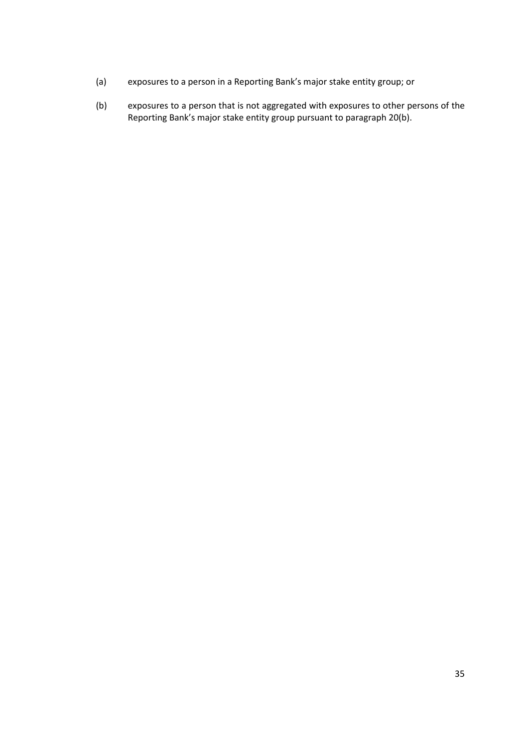- (a) exposures to a person in a Reporting Bank's major stake entity group; or
- (b) exposures to a person that is not aggregated with exposures to other persons of the Reporting Bank's major stake entity group pursuant to paragraph 20(b).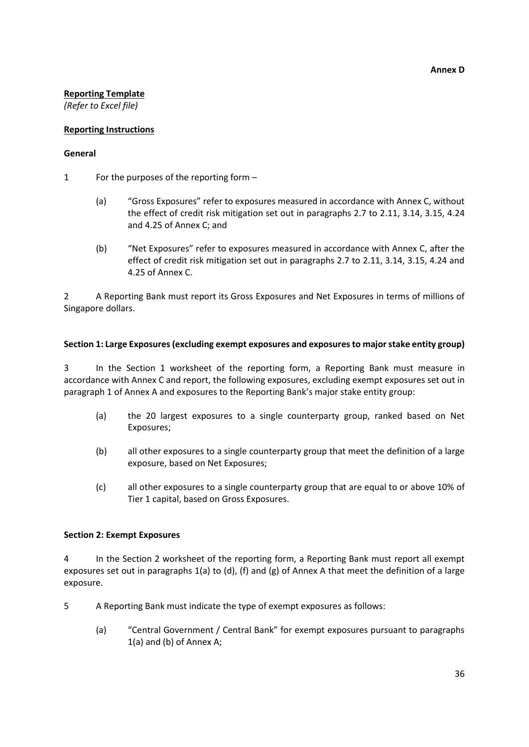#### **Reporting Template**

*(Refer to Excel file)*

# **Reporting Instructions**

#### **General**

- 1 For the purposes of the reporting form
	- (a) "Gross Exposures" refer to exposures measured in accordance with Annex C, without the effect of credit risk mitigation set out in paragraphs 2.7 to 2.11, 3.14, 3.15, 4.24 and 4.25 of Annex C; and
	- (b) "Net Exposures" refer to exposures measured in accordance with Annex C, after the effect of credit risk mitigation set out in paragraphs 2.7 to 2.11, 3.14, 3.15, 4.24 and 4.25 of Annex C.

2 A Reporting Bank must report its Gross Exposures and Net Exposures in terms of millions of Singapore dollars.

#### **Section 1: Large Exposures (excluding exempt exposures and exposures to major stake entity group)**

3 In the Section 1 worksheet of the reporting form, a Reporting Bank must measure in accordance with Annex C and report, the following exposures, excluding exempt exposures set out in paragraph 1 of Annex A and exposures to the Reporting Bank's major stake entity group:

- (a) the 20 largest exposures to a single counterparty group, ranked based on Net Exposures;
- (b) all other exposures to a single counterparty group that meet the definition of a large exposure, based on Net Exposures;
- (c) all other exposures to a single counterparty group that are equal to or above 10% of Tier 1 capital, based on Gross Exposures.

#### **Section 2: Exempt Exposures**

4 In the Section 2 worksheet of the reporting form, a Reporting Bank must report all exempt exposures set out in paragraphs 1(a) to (d), (f) and (g) of Annex A that meet the definition of a large exposure.

- 5 A Reporting Bank must indicate the type of exempt exposures as follows:
	- (a) "Central Government / Central Bank" for exempt exposures pursuant to paragraphs 1(a) and (b) of Annex A;